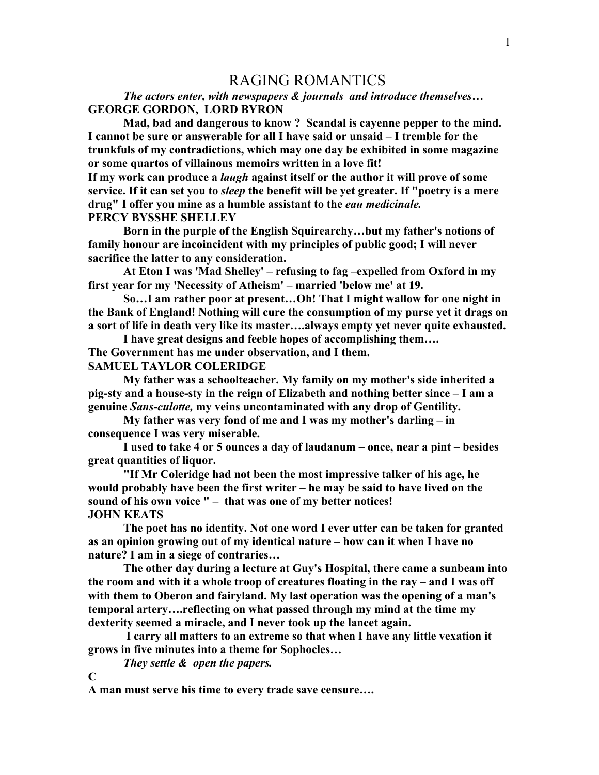## RAGING ROMANTICS

*The actors enter, with newspapers & journals and introduce themselves…* **GEORGE GORDON, LORD BYRON**

**Mad, bad and dangerous to know ? Scandal is cayenne pepper to the mind. I cannot be sure or answerable for all I have said or unsaid – I tremble for the trunkfuls of my contradictions, which may one day be exhibited in some magazine or some quartos of villainous memoirs written in a love fit!**

**If my work can produce a** *laugh* **against itself or the author it will prove of some service. If it can set you to** *sleep* **the benefit will be yet greater. If "poetry is a mere drug" I offer you mine as a humble assistant to the** *eau medicinale.* **PERCY BYSSHE SHELLEY**

**Born in the purple of the English Squirearchy…but my father's notions of family honour are incoincident with my principles of public good; I will never sacrifice the latter to any consideration.** 

**At Eton I was 'Mad Shelley' – refusing to fag –expelled from Oxford in my first year for my 'Necessity of Atheism' – married 'below me' at 19.**

**So…I am rather poor at present…Oh! That I might wallow for one night in the Bank of England! Nothing will cure the consumption of my purse yet it drags on a sort of life in death very like its master….always empty yet never quite exhausted.**

**I have great designs and feeble hopes of accomplishing them…. The Government has me under observation, and I them. SAMUEL TAYLOR COLERIDGE**

**My father was a schoolteacher. My family on my mother's side inherited a pig-sty and a house-sty in the reign of Elizabeth and nothing better since – I am a genuine** *Sans-culotte,* **my veins uncontaminated with any drop of Gentility.**

**My father was very fond of me and I was my mother's darling – in consequence I was very miserable.**

**I used to take 4 or 5 ounces a day of laudanum – once, near a pint – besides great quantities of liquor.**

**"If Mr Coleridge had not been the most impressive talker of his age, he would probably have been the first writer – he may be said to have lived on the sound of his own voice " – that was one of my better notices! JOHN KEATS**

**The poet has no identity. Not one word I ever utter can be taken for granted as an opinion growing out of my identical nature – how can it when I have no nature? I am in a siege of contraries…**

**The other day during a lecture at Guy's Hospital, there came a sunbeam into the room and with it a whole troop of creatures floating in the ray – and I was off with them to Oberon and fairyland. My last operation was the opening of a man's temporal artery….reflecting on what passed through my mind at the time my dexterity seemed a miracle, and I never took up the lancet again.**

**I carry all matters to an extreme so that when I have any little vexation it grows in five minutes into a theme for Sophocles…**

*They settle & open the papers.*

**C**

**A man must serve his time to every trade save censure….**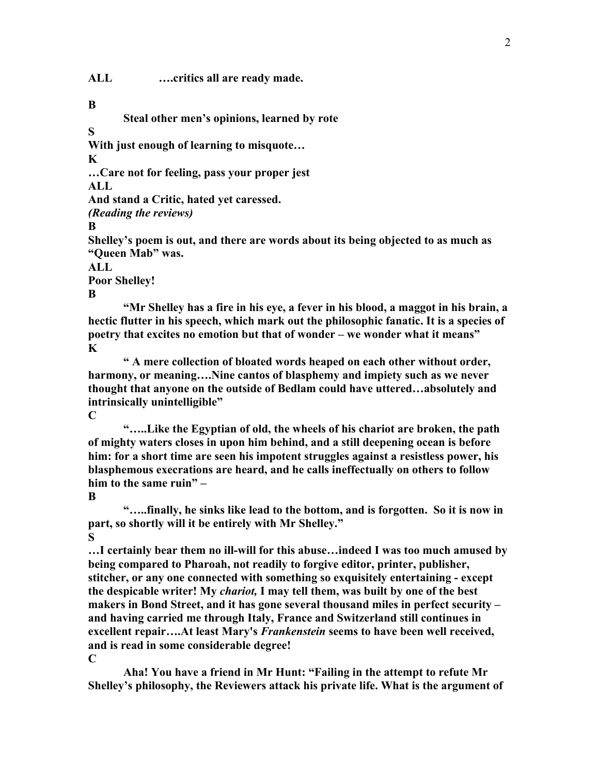**ALL ….critics all are ready made.**

**B**

**Steal other men's opinions, learned by rote**

**S**

**With just enough of learning to misquote…**

**K**

**…Care not for feeling, pass your proper jest**

**ALL**

**And stand a Critic, hated yet caressed.**

*(Reading the reviews)*

**B**

**Shelley's poem is out, and there are words about its being objected to as much as "Queen Mab" was.**

**ALL**

**Poor Shelley! B**

**"Mr Shelley has a fire in his eye, a fever in his blood, a maggot in his brain, a hectic flutter in his speech, which mark out the philosophic fanatic. It is a species of poetry that excites no emotion but that of wonder – we wonder what it means" K**

**" A mere collection of bloated words heaped on each other without order, harmony, or meaning….Nine cantos of blasphemy and impiety such as we never thought that anyone on the outside of Bedlam could have uttered…absolutely and intrinsically unintelligible"**

**C**

**"…..Like the Egyptian of old, the wheels of his chariot are broken, the path of mighty waters closes in upon him behind, and a still deepening ocean is before him: for a short time are seen his impotent struggles against a resistless power, his blasphemous execrations are heard, and he calls ineffectually on others to follow him to the same ruin" –**

**B**

**"…..finally, he sinks like lead to the bottom, and is forgotten. So it is now in part, so shortly will it be entirely with Mr Shelley." S**

**…I certainly bear them no ill-will for this abuse…indeed I was too much amused by being compared to Pharoah, not readily to forgive editor, printer, publisher, stitcher, or any one connected with something so exquisitely entertaining - except the despicable writer! My** *chariot,* **I may tell them, was built by one of the best makers in Bond Street, and it has gone several thousand miles in perfect security – and having carried me through Italy, France and Switzerland still continues in excellent repair….At least Mary's** *Frankenstein* **seems to have been well received, and is read in some considerable degree!**

**C**

**Aha! You have a friend in Mr Hunt: "Failing in the attempt to refute Mr Shelley's philosophy, the Reviewers attack his private life. What is the argument of**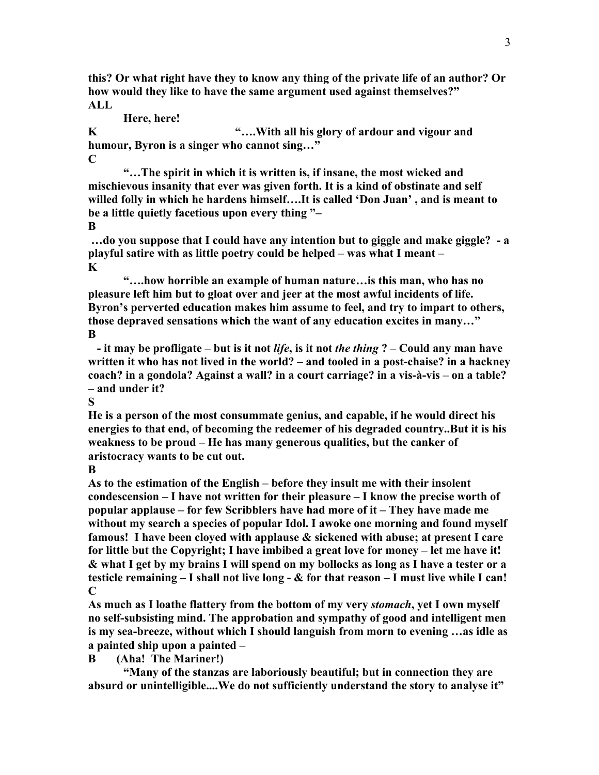**this? Or what right have they to know any thing of the private life of an author? Or how would they like to have the same argument used against themselves?" ALL**

**Here, here!**

**K "….With all his glory of ardour and vigour and humour, Byron is a singer who cannot sing…" C**

**"…The spirit in which it is written is, if insane, the most wicked and mischievous insanity that ever was given forth. It is a kind of obstinate and self willed folly in which he hardens himself….It is called 'Don Juan' , and is meant to be a little quietly facetious upon every thing "–**

**B**

**…do you suppose that I could have any intention but to giggle and make giggle? - a playful satire with as little poetry could be helped – was what I meant – K**

**"….how horrible an example of human nature…is this man, who has no pleasure left him but to gloat over and jeer at the most awful incidents of life. Byron's perverted education makes him assume to feel, and try to impart to others, those depraved sensations which the want of any education excites in many…" B**

 **- it may be profligate – but is it not** *life***, is it not** *the thing* **? – Could any man have written it who has not lived in the world? – and tooled in a post-chaise? in a hackney coach? in a gondola? Against a wall? in a court carriage? in a vis-à-vis – on a table? – and under it?**

**S** 

**He is a person of the most consummate genius, and capable, if he would direct his energies to that end, of becoming the redeemer of his degraded country..But it is his weakness to be proud – He has many generous qualities, but the canker of aristocracy wants to be cut out.**

**B**

**As to the estimation of the English – before they insult me with their insolent condescension – I have not written for their pleasure – I know the precise worth of popular applause – for few Scribblers have had more of it – They have made me without my search a species of popular Idol. I awoke one morning and found myself famous! I have been cloyed with applause & sickened with abuse; at present I care for little but the Copyright; I have imbibed a great love for money – let me have it! & what I get by my brains I will spend on my bollocks as long as I have a tester or a testicle remaining – I shall not live long - & for that reason – I must live while I can! C**

**As much as I loathe flattery from the bottom of my very** *stomach***, yet I own myself no self-subsisting mind. The approbation and sympathy of good and intelligent men is my sea-breeze, without which I should languish from morn to evening …as idle as a painted ship upon a painted –**

**B (Aha! The Mariner!)**

**"Many of the stanzas are laboriously beautiful; but in connection they are absurd or unintelligible....We do not sufficiently understand the story to analyse it"**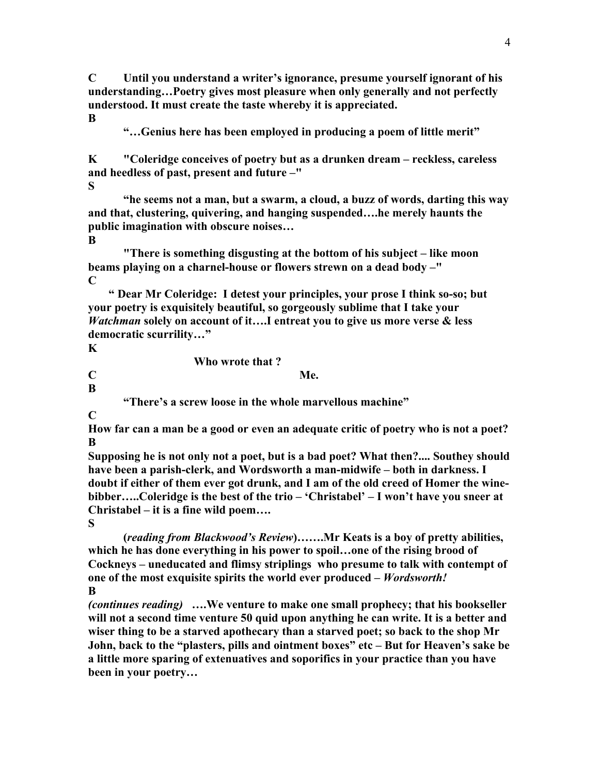**C Until you understand a writer's ignorance, presume yourself ignorant of his understanding…Poetry gives most pleasure when only generally and not perfectly understood. It must create the taste whereby it is appreciated. B**

**"…Genius here has been employed in producing a poem of little merit"**

**K "Coleridge conceives of poetry but as a drunken dream – reckless, careless and heedless of past, present and future –"**

**S**

**"he seems not a man, but a swarm, a cloud, a buzz of words, darting this way and that, clustering, quivering, and hanging suspended….he merely haunts the public imagination with obscure noises…** 

**B**

**"There is something disgusting at the bottom of his subject – like moon beams playing on a charnel-house or flowers strewn on a dead body –" C**

 **" Dear Mr Coleridge: I detest your principles, your prose I think so-so; but your poetry is exquisitely beautiful, so gorgeously sublime that I take your**  *Watchman* **solely on account of it….I entreat you to give us more verse & less democratic scurrility…"**

**K**

**Who wrote that ?**

**C Me. B**

**"There's a screw loose in the whole marvellous machine"**

**C**

**How far can a man be a good or even an adequate critic of poetry who is not a poet? B**

**Supposing he is not only not a poet, but is a bad poet? What then?.... Southey should have been a parish-clerk, and Wordsworth a man-midwife – both in darkness. I doubt if either of them ever got drunk, and I am of the old creed of Homer the winebibber…..Coleridge is the best of the trio – 'Christabel' – I won't have you sneer at Christabel – it is a fine wild poem….**

**S**

**(***reading from Blackwood's Review***)…….Mr Keats is a boy of pretty abilities, which he has done everything in his power to spoil…one of the rising brood of Cockneys – uneducated and flimsy striplings who presume to talk with contempt of one of the most exquisite spirits the world ever produced –** *Wordsworth!* **B** 

*(continues reading)* **….We venture to make one small prophecy; that his bookseller will not a second time venture 50 quid upon anything he can write. It is a better and wiser thing to be a starved apothecary than a starved poet; so back to the shop Mr John, back to the "plasters, pills and ointment boxes" etc – But for Heaven's sake be a little more sparing of extenuatives and soporifics in your practice than you have been in your poetry…**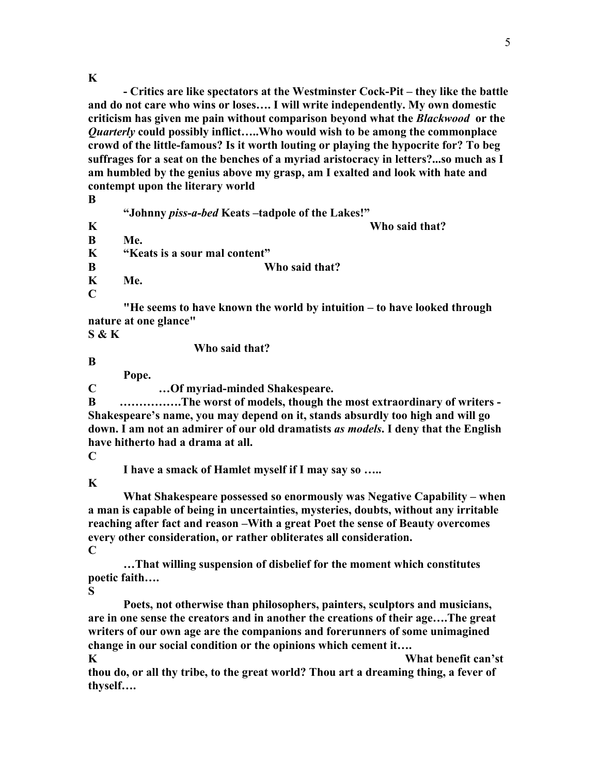**K**

**- Critics are like spectators at the Westminster Cock-Pit – they like the battle and do not care who wins or loses…. I will write independently. My own domestic criticism has given me pain without comparison beyond what the** *Blackwood* **or the**  *Quarterly* **could possibly inflict…..Who would wish to be among the commonplace crowd of the little-famous? Is it worth louting or playing the hypocrite for? To beg suffrages for a seat on the benches of a myriad aristocracy in letters?...so much as I am humbled by the genius above my grasp, am I exalted and look with hate and contempt upon the literary world**

**B**

**"Johnny** *piss-a-bed* **Keats –tadpole of the Lakes!" K Who said that?**

**B Me. K "Keats is a sour mal content"**

**B Who said that?**

**K Me.**

**C**

**"He seems to have known the world by intuition – to have looked through nature at one glance"**

**S & K**

**Who said that?**

**B**

**Pope.**

**C …Of myriad-minded Shakespeare.**

**B …………….The worst of models, though the most extraordinary of writers - Shakespeare's name, you may depend on it, stands absurdly too high and will go down. I am not an admirer of our old dramatists** *as models***. I deny that the English have hitherto had a drama at all.**

**C** 

**I have a smack of Hamlet myself if I may say so …..**

**K**

**What Shakespeare possessed so enormously was Negative Capability – when a man is capable of being in uncertainties, mysteries, doubts, without any irritable reaching after fact and reason –With a great Poet the sense of Beauty overcomes every other consideration, or rather obliterates all consideration. C**

**…That willing suspension of disbelief for the moment which constitutes poetic faith….**

**S**

**Poets, not otherwise than philosophers, painters, sculptors and musicians, are in one sense the creators and in another the creations of their age….The great writers of our own age are the companions and forerunners of some unimagined change in our social condition or the opinions which cement it….**

**K What benefit can'st thou do, or all thy tribe, to the great world? Thou art a dreaming thing, a fever of thyself….**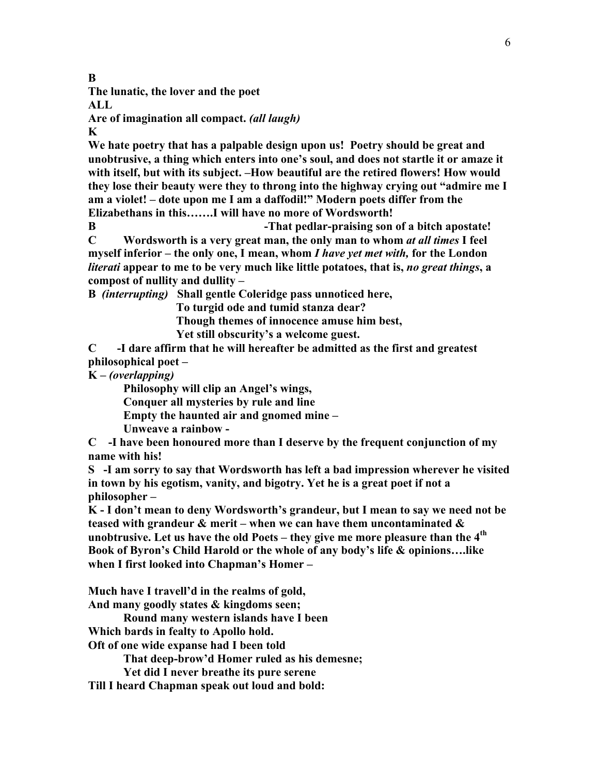**B**

**The lunatic, the lover and the poet**

**ALL**

**Are of imagination all compact.** *(all laugh)*

**K**

**We hate poetry that has a palpable design upon us! Poetry should be great and unobtrusive, a thing which enters into one's soul, and does not startle it or amaze it with itself, but with its subject. –How beautiful are the retired flowers! How would they lose their beauty were they to throng into the highway crying out "admire me I am a violet! – dote upon me I am a daffodil!" Modern poets differ from the Elizabethans in this…….I will have no more of Wordsworth!**

**B -That pedlar-praising son of a bitch apostate! C Wordsworth is a very great man, the only man to whom** *at all times* **I feel myself inferior – the only one, I mean, whom** *I have yet met with,* **for the London**  *literati* **appear to me to be very much like little potatoes, that is,** *no great things***, a compost of nullity and dullity –**

**B** *(interrupting)* **Shall gentle Coleridge pass unnoticed here,**

 **To turgid ode and tumid stanza dear?**

 **Though themes of innocence amuse him best,**

 **Yet still obscurity's a welcome guest.**

**C -I dare affirm that he will hereafter be admitted as the first and greatest philosophical poet –**

**K –** *(overlapping)*

**Philosophy will clip an Angel's wings,**

**Conquer all mysteries by rule and line**

**Empty the haunted air and gnomed mine –**

**Unweave a rainbow -**

**C -I have been honoured more than I deserve by the frequent conjunction of my name with his!**

**S -I am sorry to say that Wordsworth has left a bad impression wherever he visited in town by his egotism, vanity, and bigotry. Yet he is a great poet if not a philosopher –**

**K - I don't mean to deny Wordsworth's grandeur, but I mean to say we need not be teased with grandeur & merit – when we can have them uncontaminated & unobtrusive. Let us have the old Poets – they give me more pleasure than the 4th Book of Byron's Child Harold or the whole of any body's life & opinions….like when I first looked into Chapman's Homer –**

**Much have I travell'd in the realms of gold,**

**And many goodly states & kingdoms seen;**

**Round many western islands have I been**

**Which bards in fealty to Apollo hold.**

**Oft of one wide expanse had I been told**

**That deep-brow'd Homer ruled as his demesne;**

**Yet did I never breathe its pure serene**

**Till I heard Chapman speak out loud and bold:**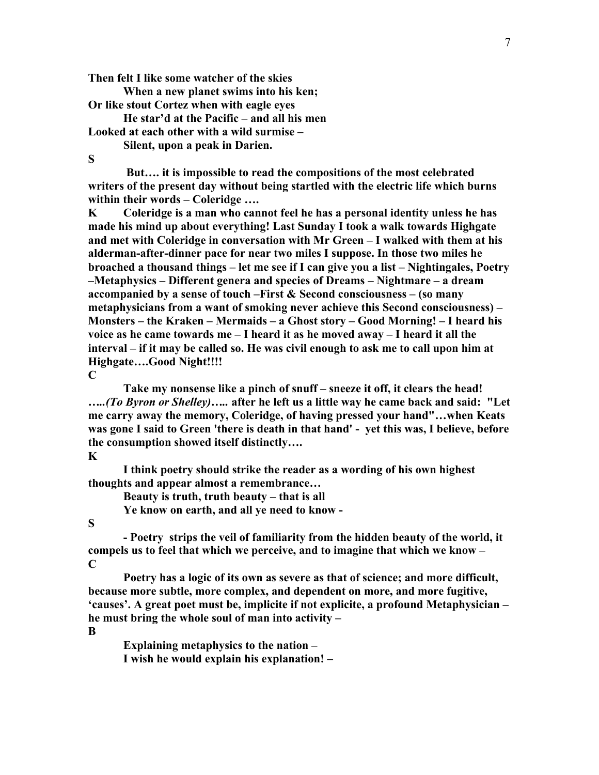**Then felt I like some watcher of the skies**

**When a new planet swims into his ken; Or like stout Cortez when with eagle eyes**

**He star'd at the Pacific – and all his men Looked at each other with a wild surmise –**

**Silent, upon a peak in Darien.**

**S**

**But…. it is impossible to read the compositions of the most celebrated writers of the present day without being startled with the electric life which burns within their words – Coleridge ….**

**K Coleridge is a man who cannot feel he has a personal identity unless he has made his mind up about everything! Last Sunday I took a walk towards Highgate and met with Coleridge in conversation with Mr Green – I walked with them at his alderman-after-dinner pace for near two miles I suppose. In those two miles he broached a thousand things – let me see if I can give you a list – Nightingales, Poetry –Metaphysics – Different genera and species of Dreams – Nightmare – a dream accompanied by a sense of touch –First & Second consciousness – (so many metaphysicians from a want of smoking never achieve this Second consciousness) – Monsters – the Kraken – Mermaids – a Ghost story – Good Morning! – I heard his voice as he came towards me – I heard it as he moved away – I heard it all the interval – if it may be called so. He was civil enough to ask me to call upon him at Highgate….Good Night!!!!**

**C**

**Take my nonsense like a pinch of snuff – sneeze it off, it clears the head!** *…..(To Byron or Shelley)…..* **after he left us a little way he came back and said: "Let me carry away the memory, Coleridge, of having pressed your hand"…when Keats was gone I said to Green 'there is death in that hand' - yet this was, I believe, before the consumption showed itself distinctly….**

#### **K**

**I think poetry should strike the reader as a wording of his own highest thoughts and appear almost a remembrance…**

**Beauty is truth, truth beauty – that is all**

**Ye know on earth, and all ye need to know -**

**S**

**- Poetry strips the veil of familiarity from the hidden beauty of the world, it compels us to feel that which we perceive, and to imagine that which we know – C**

**Poetry has a logic of its own as severe as that of science; and more difficult, because more subtle, more complex, and dependent on more, and more fugitive, 'causes'. A great poet must be, implicite if not explicite, a profound Metaphysician – he must bring the whole soul of man into activity –**

**B** 

**Explaining metaphysics to the nation – I wish he would explain his explanation! –**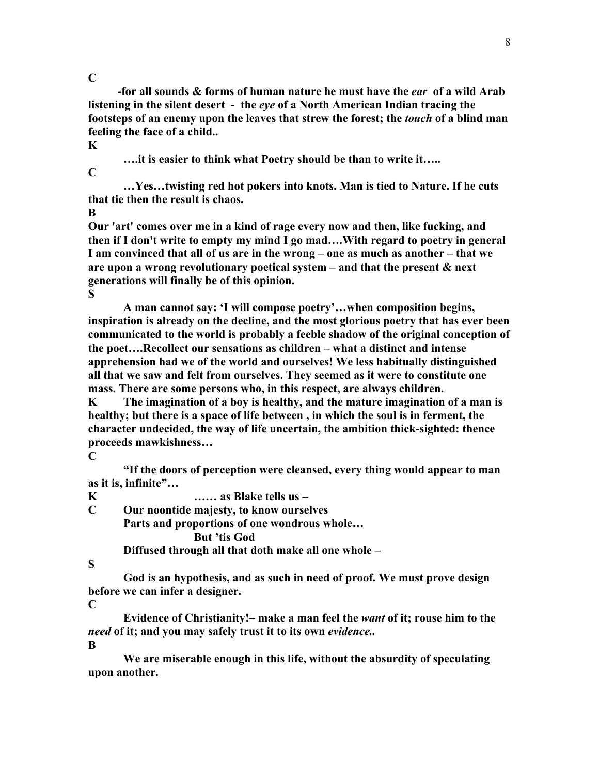**C**

 **-for all sounds & forms of human nature he must have the** *ear* **of a wild Arab listening in the silent desert - the** *eye* **of a North American Indian tracing the footsteps of an enemy upon the leaves that strew the forest; the** *touch* **of a blind man feeling the face of a child.. K**

**….it is easier to think what Poetry should be than to write it…..**

**C**

**…Yes…twisting red hot pokers into knots. Man is tied to Nature. If he cuts that tie then the result is chaos.**

**B**

**Our 'art' comes over me in a kind of rage every now and then, like fucking, and then if I don't write to empty my mind I go mad….With regard to poetry in general I am convinced that all of us are in the wrong – one as much as another – that we are upon a wrong revolutionary poetical system – and that the present & next generations will finally be of this opinion. S**

**A man cannot say: 'I will compose poetry'…when composition begins, inspiration is already on the decline, and the most glorious poetry that has ever been communicated to the world is probably a feeble shadow of the original conception of the poet….Recollect our sensations as children – what a distinct and intense apprehension had we of the world and ourselves! We less habitually distinguished all that we saw and felt from ourselves. They seemed as it were to constitute one mass. There are some persons who, in this respect, are always children.**

**K The imagination of a boy is healthy, and the mature imagination of a man is healthy; but there is a space of life between , in which the soul is in ferment, the character undecided, the way of life uncertain, the ambition thick-sighted: thence proceeds mawkishness…**

**C**

**"If the doors of perception were cleansed, every thing would appear to man as it is, infinite"…**

**K …… as Blake tells us –**

**C Our noontide majesty, to know ourselves**

**Parts and proportions of one wondrous whole…**

**But 'tis God**

**Diffused through all that doth make all one whole –**

**S**

**God is an hypothesis, and as such in need of proof. We must prove design before we can infer a designer.**

**C**

**Evidence of Christianity!– make a man feel the** *want* **of it; rouse him to the**  *need* **of it; and you may safely trust it to its own** *evidence..*

**B**

**We are miserable enough in this life, without the absurdity of speculating upon another.**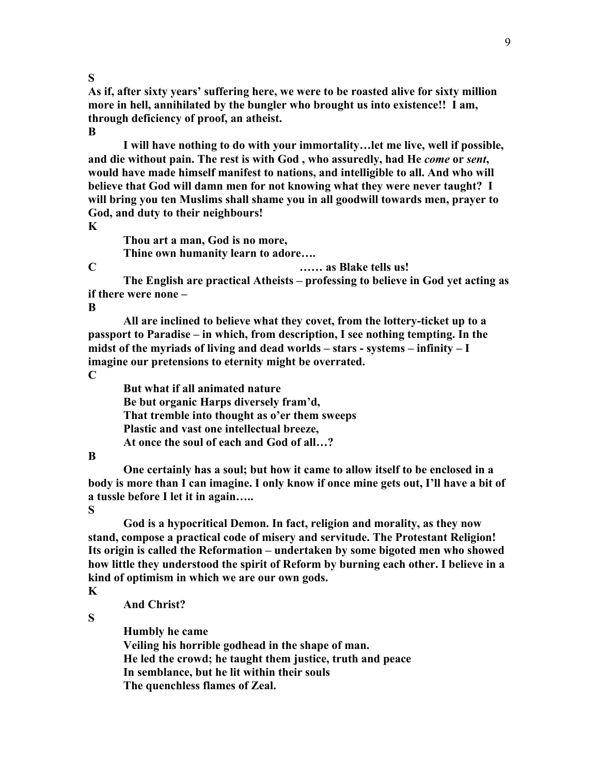**S**

**As if, after sixty years' suffering here, we were to be roasted alive for sixty million more in hell, annihilated by the bungler who brought us into existence!! I am, through deficiency of proof, an atheist.**

**B**

**I will have nothing to do with your immortality…let me live, well if possible, and die without pain. The rest is with God , who assuredly, had He** *come* **or** *sent***, would have made himself manifest to nations, and intelligible to all. And who will believe that God will damn men for not knowing what they were never taught? I will bring you ten Muslims shall shame you in all goodwill towards men, prayer to God, and duty to their neighbours!**

**K**

**Thou art a man, God is no more, Thine own humanity learn to adore….**

**C …… as Blake tells us!**

**The English are practical Atheists – professing to believe in God yet acting as if there were none –**

**B**

**All are inclined to believe what they covet, from the lottery-ticket up to a passport to Paradise – in which, from description, I see nothing tempting. In the midst of the myriads of living and dead worlds – stars - systems – infinity – I imagine our pretensions to eternity might be overrated.**

**C**

**But what if all animated nature Be but organic Harps diversely fram'd, That tremble into thought as o'er them sweeps Plastic and vast one intellectual breeze, At once the soul of each and God of all…?**

## **B**

**One certainly has a soul; but how it came to allow itself to be enclosed in a body is more than I can imagine. I only know if once mine gets out, I'll have a bit of a tussle before I let it in again…..**

**S**

**God is a hypocritical Demon. In fact, religion and morality, as they now stand, compose a practical code of misery and servitude. The Protestant Religion! Its origin is called the Reformation – undertaken by some bigoted men who showed how little they understood the spirit of Reform by burning each other. I believe in a kind of optimism in which we are our own gods.**

**K**

**And Christ?**

**S**

**Humbly he came Veiling his horrible godhead in the shape of man. He led the crowd; he taught them justice, truth and peace In semblance, but he lit within their souls The quenchless flames of Zeal.**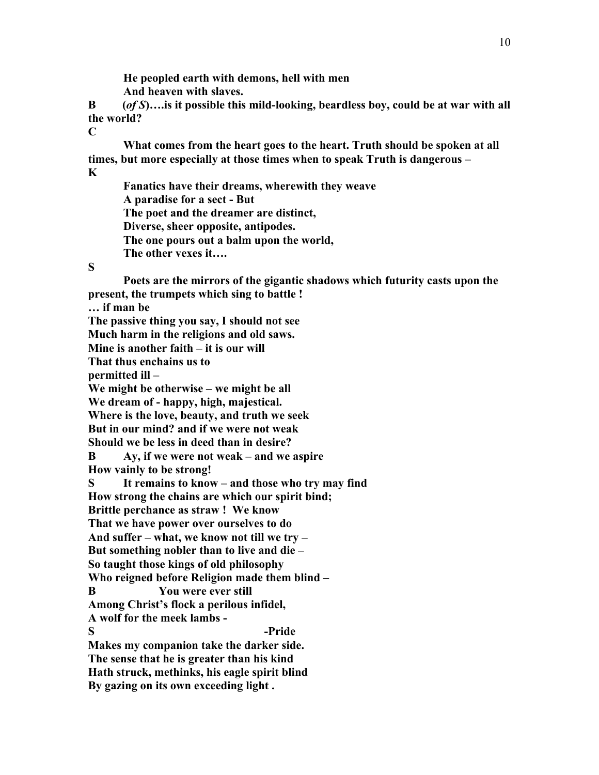**He peopled earth with demons, hell with men And heaven with slaves.**

**B (***of S***)….is it possible this mild-looking, beardless boy, could be at war with all the world?**

**C**

**What comes from the heart goes to the heart. Truth should be spoken at all times, but more especially at those times when to speak Truth is dangerous – K**

**Fanatics have their dreams, wherewith they weave A paradise for a sect - But The poet and the dreamer are distinct, Diverse, sheer opposite, antipodes. The one pours out a balm upon the world, The other vexes it….**

#### **S**

**Poets are the mirrors of the gigantic shadows which futurity casts upon the present, the trumpets which sing to battle ! … if man be The passive thing you say, I should not see Much harm in the religions and old saws. Mine is another faith – it is our will That thus enchains us to permitted ill – We might be otherwise – we might be all We dream of - happy, high, majestical. Where is the love, beauty, and truth we seek But in our mind? and if we were not weak Should we be less in deed than in desire? B Ay, if we were not weak – and we aspire How vainly to be strong! S It remains to know – and those who try may find How strong the chains are which our spirit bind; Brittle perchance as straw ! We know That we have power over ourselves to do And suffer – what, we know not till we try – But something nobler than to live and die – So taught those kings of old philosophy Who reigned before Religion made them blind – B You were ever still Among Christ's flock a perilous infidel, A wolf for the meek lambs - S -Pride Makes my companion take the darker side. The sense that he is greater than his kind Hath struck, methinks, his eagle spirit blind By gazing on its own exceeding light .**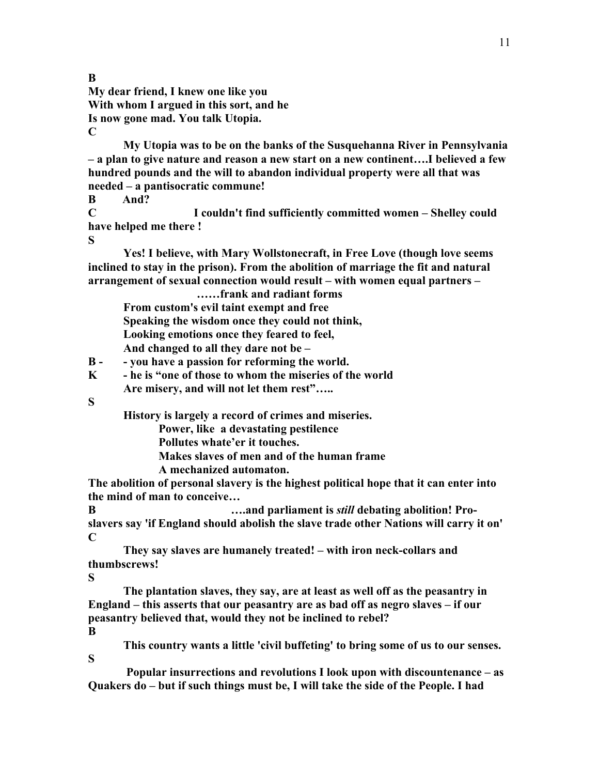**My dear friend, I knew one like you With whom I argued in this sort, and he Is now gone mad. You talk Utopia. C**

**My Utopia was to be on the banks of the Susquehanna River in Pennsylvania – a plan to give nature and reason a new start on a new continent….I believed a few hundred pounds and the will to abandon individual property were all that was needed – a pantisocratic commune!**

**B And?**

**C I couldn't find sufficiently committed women – Shelley could have helped me there !**

**S**

**B**

**Yes! I believe, with Mary Wollstonecraft, in Free Love (though love seems inclined to stay in the prison). From the abolition of marriage the fit and natural arrangement of sexual connection would result – with women equal partners –**

**……frank and radiant forms From custom's evil taint exempt and free Speaking the wisdom once they could not think, Looking emotions once they feared to feel, And changed to all they dare not be –**

**B - - you have a passion for reforming the world.**

**K - he is "one of those to whom the miseries of the world Are misery, and will not let them rest"…..**

**S**

**History is largely a record of crimes and miseries.** 

 **Power, like a devastating pestilence**

**Pollutes whate'er it touches.**

**Makes slaves of men and of the human frame**

**A mechanized automaton.**

**The abolition of personal slavery is the highest political hope that it can enter into the mind of man to conceive…**

**B 1...and parliament is** *still* **debating abolition! Proslavers say 'if England should abolish the slave trade other Nations will carry it on' C**

**They say slaves are humanely treated! – with iron neck-collars and thumbscrews!**

**S**

**S**

**The plantation slaves, they say, are at least as well off as the peasantry in England – this asserts that our peasantry are as bad off as negro slaves – if our peasantry believed that, would they not be inclined to rebel? B**

**This country wants a little 'civil buffeting' to bring some of us to our senses.**

**Popular insurrections and revolutions I look upon with discountenance – as Quakers do – but if such things must be, I will take the side of the People. I had**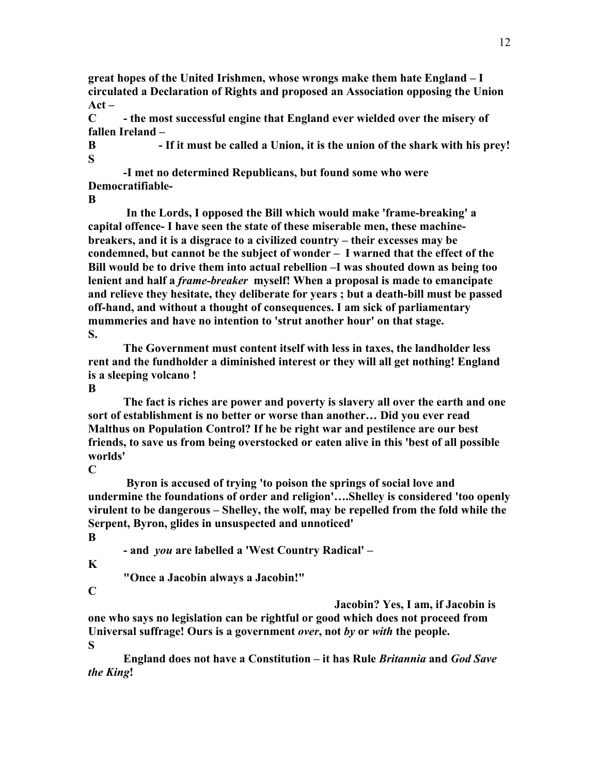**great hopes of the United Irishmen, whose wrongs make them hate England – I circulated a Declaration of Rights and proposed an Association opposing the Union Act –**

**C - the most successful engine that England ever wielded over the misery of fallen Ireland –**

**B - If it must be called a Union, it is the union of the shark with his prey! S**

**-I met no determined Republicans, but found some who were Democratifiable-**

**B**

**In the Lords, I opposed the Bill which would make 'frame-breaking' a capital offence- I have seen the state of these miserable men, these machinebreakers, and it is a disgrace to a civilized country – their excesses may be condemned, but cannot be the subject of wonder – I warned that the effect of the Bill would be to drive them into actual rebellion –I was shouted down as being too lenient and half a** *frame-breaker* **myself! When a proposal is made to emancipate and relieve they hesitate, they deliberate for years ; but a death-bill must be passed off-hand, and without a thought of consequences. I am sick of parliamentary mummeries and have no intention to 'strut another hour' on that stage. S.**

**The Government must content itself with less in taxes, the landholder less rent and the fundholder a diminished interest or they will all get nothing! England is a sleeping volcano !**

**B**

**The fact is riches are power and poverty is slavery all over the earth and one sort of establishment is no better or worse than another… Did you ever read Malthus on Population Control? If he be right war and pestilence are our best friends, to save us from being overstocked or eaten alive in this 'best of all possible worlds'**

**C**

**Byron is accused of trying 'to poison the springs of social love and undermine the foundations of order and religion'….Shelley is considered 'too openly virulent to be dangerous – Shelley, the wolf, may be repelled from the fold while the Serpent, Byron, glides in unsuspected and unnoticed' B**

**- and** *you* **are labelled a 'West Country Radical' –**

**K**

**"Once a Jacobin always a Jacobin!"**

**C**

**Jacobin? Yes, I am, if Jacobin is one who says no legislation can be rightful or good which does not proceed from Universal suffrage! Ours is a government** *over***, not** *by* **or** *with* **the people. S**

**England does not have a Constitution – it has Rule** *Britannia* **and** *God Save the King***!**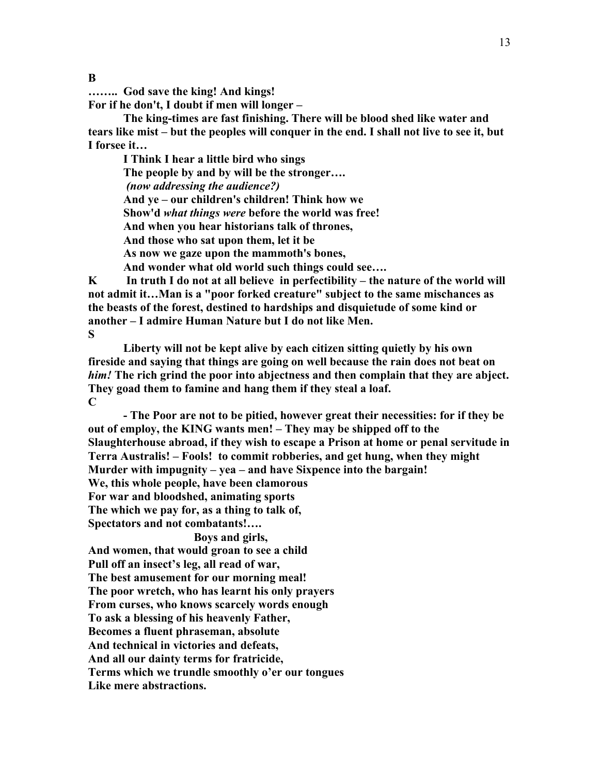**…….. God save the king! And kings! For if he don't, I doubt if men will longer –**

**The king-times are fast finishing. There will be blood shed like water and tears like mist – but the peoples will conquer in the end. I shall not live to see it, but I forsee it…**

**I Think I hear a little bird who sings The people by and by will be the stronger….** *(now addressing the audience?)* **And ye – our children's children! Think how we Show'd** *what things were* **before the world was free! And when you hear historians talk of thrones, And those who sat upon them, let it be As now we gaze upon the mammoth's bones, And wonder what old world such things could see….** 

**K In truth I do not at all believe in perfectibility – the nature of the world will not admit it…Man is a "poor forked creature" subject to the same mischances as the beasts of the forest, destined to hardships and disquietude of some kind or another – I admire Human Nature but I do not like Men. S**

**Liberty will not be kept alive by each citizen sitting quietly by his own fireside and saying that things are going on well because the rain does not beat on**  *him!* **The rich grind the poor into abjectness and then complain that they are abject. They goad them to famine and hang them if they steal a loaf. C**

**- The Poor are not to be pitied, however great their necessities: for if they be out of employ, the KING wants men! – They may be shipped off to the Slaughterhouse abroad, if they wish to escape a Prison at home or penal servitude in Terra Australis! – Fools! to commit robberies, and get hung, when they might Murder with impugnity – yea – and have Sixpence into the bargain! We, this whole people, have been clamorous**

**For war and bloodshed, animating sports**

**The which we pay for, as a thing to talk of,**

**Spectators and not combatants!….**

**Boys and girls,**

**And women, that would groan to see a child**

**Pull off an insect's leg, all read of war,**

**The best amusement for our morning meal!**

**The poor wretch, who has learnt his only prayers**

**From curses, who knows scarcely words enough**

**To ask a blessing of his heavenly Father,**

**Becomes a fluent phraseman, absolute**

**And technical in victories and defeats,**

**And all our dainty terms for fratricide,**

**Terms which we trundle smoothly o'er our tongues**

**Like mere abstractions.**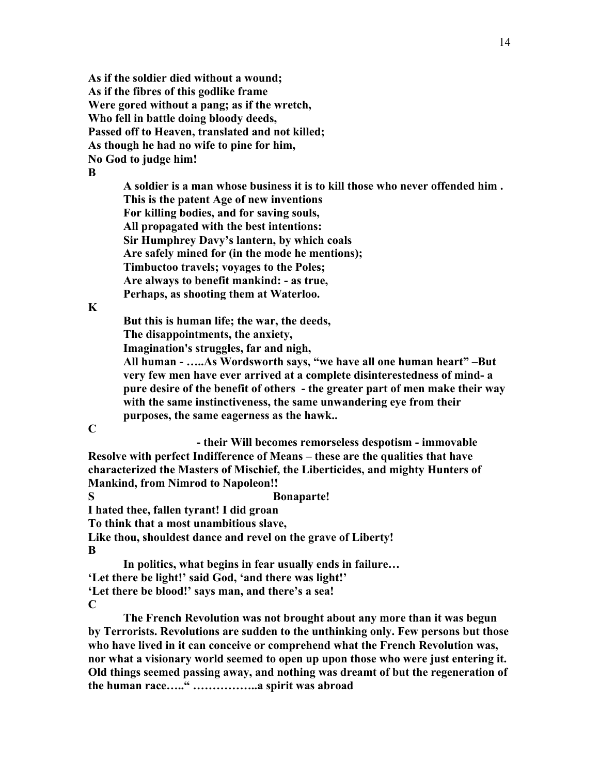**As if the soldier died without a wound; As if the fibres of this godlike frame Were gored without a pang; as if the wretch, Who fell in battle doing bloody deeds, Passed off to Heaven, translated and not killed; As though he had no wife to pine for him, No God to judge him! B**

> **A soldier is a man whose business it is to kill those who never offended him . This is the patent Age of new inventions For killing bodies, and for saving souls, All propagated with the best intentions: Sir Humphrey Davy's lantern, by which coals Are safely mined for (in the mode he mentions); Timbuctoo travels; voyages to the Poles; Are always to benefit mankind: - as true, Perhaps, as shooting them at Waterloo.**

**K**

**But this is human life; the war, the deeds, The disappointments, the anxiety, Imagination's struggles, far and nigh,**

**All human - …..As Wordsworth says, "we have all one human heart" –But very few men have ever arrived at a complete disinterestedness of mind- a pure desire of the benefit of others - the greater part of men make their way with the same instinctiveness, the same unwandering eye from their purposes, the same eagerness as the hawk..**

**C**

**- their Will becomes remorseless despotism - immovable Resolve with perfect Indifference of Means – these are the qualities that have characterized the Masters of Mischief, the Liberticides, and mighty Hunters of Mankind, from Nimrod to Napoleon!!** 

**S Bonaparte!**

**I hated thee, fallen tyrant! I did groan**

**To think that a most unambitious slave,**

**Like thou, shouldest dance and revel on the grave of Liberty! B**

**In politics, what begins in fear usually ends in failure… 'Let there be light!' said God, 'and there was light!' 'Let there be blood!' says man, and there's a sea! C**

**The French Revolution was not brought about any more than it was begun by Terrorists. Revolutions are sudden to the unthinking only. Few persons but those who have lived in it can conceive or comprehend what the French Revolution was, nor what a visionary world seemed to open up upon those who were just entering it. Old things seemed passing away, and nothing was dreamt of but the regeneration of the human race….." ……………..a spirit was abroad**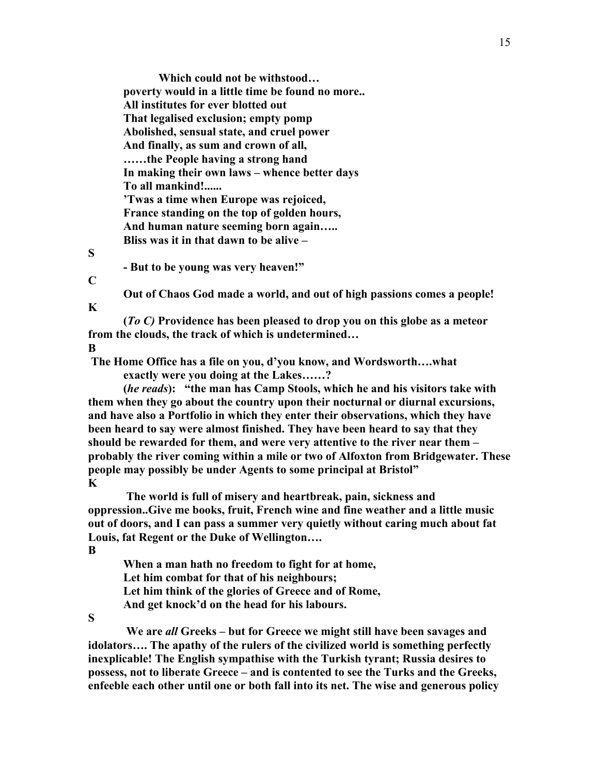**Which could not be withstood… poverty would in a little time be found no more.. All institutes for ever blotted out That legalised exclusion; empty pomp Abolished, sensual state, and cruel power And finally, as sum and crown of all, ……the People having a strong hand In making their own laws – whence better days To all mankind!...... 'Twas a time when Europe was rejoiced, France standing on the top of golden hours, And human nature seeming born again….. Bliss was it in that dawn to be alive –**

#### **S**

**- But to be young was very heaven!"**

#### **C**

**K**

**Out of Chaos God made a world, and out of high passions comes a people!**

**(***To C)* **Providence has been pleased to drop you on this globe as a meteor from the clouds, the track of which is undetermined… B**

**The Home Office has a file on you, d'you know, and Wordsworth….what exactly were you doing at the Lakes……?**

**(***he reads***): "the man has Camp Stools, which he and his visitors take with them when they go about the country upon their nocturnal or diurnal excursions, and have also a Portfolio in which they enter their observations, which they have been heard to say were almost finished. They have been heard to say that they should be rewarded for them, and were very attentive to the river near them – probably the river coming within a mile or two of Alfoxton from Bridgewater. These people may possibly be under Agents to some principal at Bristol" K**

**The world is full of misery and heartbreak, pain, sickness and oppression..Give me books, fruit, French wine and fine weather and a little music out of doors, and I can pass a summer very quietly without caring much about fat Louis, fat Regent or the Duke of Wellington…. B**

**When a man hath no freedom to fight for at home, Let him combat for that of his neighbours; Let him think of the glories of Greece and of Rome, And get knock'd on the head for his labours.**

## **S**

**We are** *all* **Greeks – but for Greece we might still have been savages and idolators…. The apathy of the rulers of the civilized world is something perfectly inexplicable! The English sympathise with the Turkish tyrant; Russia desires to possess, not to liberate Greece – and is contented to see the Turks and the Greeks, enfeeble each other until one or both fall into its net. The wise and generous policy**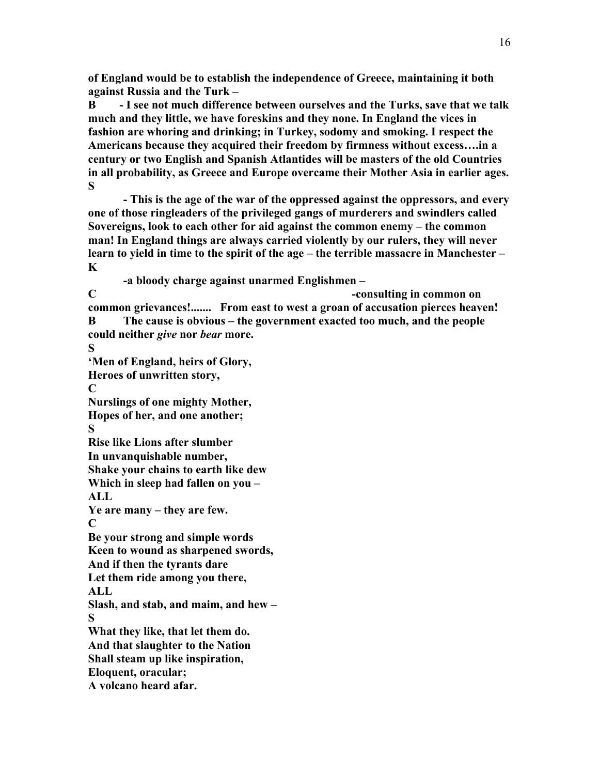**of England would be to establish the independence of Greece, maintaining it both against Russia and the Turk –** 

**B - I see not much difference between ourselves and the Turks, save that we talk much and they little, we have foreskins and they none. In England the vices in fashion are whoring and drinking; in Turkey, sodomy and smoking. I respect the Americans because they acquired their freedom by firmness without excess….in a century or two English and Spanish Atlantides will be masters of the old Countries in all probability, as Greece and Europe overcame their Mother Asia in earlier ages. S**

**- This is the age of the war of the oppressed against the oppressors, and every one of those ringleaders of the privileged gangs of murderers and swindlers called Sovereigns, look to each other for aid against the common enemy – the common man! In England things are always carried violently by our rulers, they will never learn to yield in time to the spirit of the age – the terrible massacre in Manchester – K**

**-a bloody charge against unarmed Englishmen –**

**C -consulting in common on common grievances!....... From east to west a groan of accusation pierces heaven! B The cause is obvious – the government exacted too much, and the people could neither** *give* **nor** *bear* **more.**

**S 'Men of England, heirs of Glory,**

**Heroes of unwritten story,** 

**C**

**Nurslings of one mighty Mother, Hopes of her, and one another;**

**S**

**Rise like Lions after slumber**

**In unvanquishable number,**

**Shake your chains to earth like dew**

**Which in sleep had fallen on you –**

**ALL**

**Ye are many – they are few.**

**C**

**Be your strong and simple words Keen to wound as sharpened swords,**

**And if then the tyrants dare**

**Let them ride among you there,**

**ALL**

**Slash, and stab, and maim, and hew – S**

**What they like, that let them do. And that slaughter to the Nation**

**Shall steam up like inspiration,**

**Eloquent, oracular;**

**A volcano heard afar.**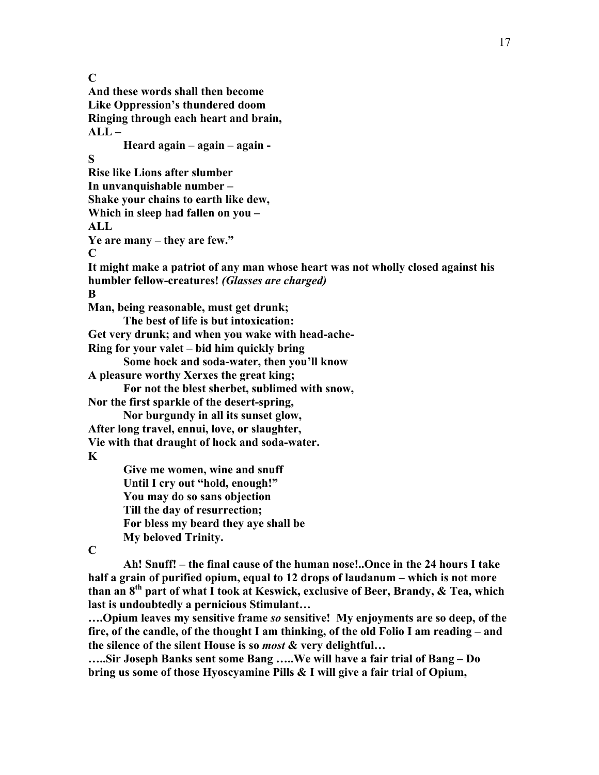**C And these words shall then become Like Oppression's thundered doom Ringing through each heart and brain, ALL – Heard again – again – again - S Rise like Lions after slumber In unvanquishable number – Shake your chains to earth like dew, Which in sleep had fallen on you – ALL Ye are many – they are few." C It might make a patriot of any man whose heart was not wholly closed against his humbler fellow-creatures!** *(Glasses are charged)* **B Man, being reasonable, must get drunk; The best of life is but intoxication: Get very drunk; and when you wake with head-ache-Ring for your valet – bid him quickly bring Some hock and soda-water, then you'll know A pleasure worthy Xerxes the great king; For not the blest sherbet, sublimed with snow, Nor the first sparkle of the desert-spring, Nor burgundy in all its sunset glow, After long travel, ennui, love, or slaughter, Vie with that draught of hock and soda-water. K Give me women, wine and snuff Until I cry out "hold, enough!" You may do so sans objection Till the day of resurrection; For bless my beard they aye shall be My beloved Trinity.**

17

**C**

**Ah! Snuff! – the final cause of the human nose!..Once in the 24 hours I take half a grain of purified opium, equal to 12 drops of laudanum – which is not more than an 8th part of what I took at Keswick, exclusive of Beer, Brandy, & Tea, which last is undoubtedly a pernicious Stimulant…**

**….Opium leaves my sensitive frame** *so* **sensitive! My enjoyments are so deep, of the fire, of the candle, of the thought I am thinking, of the old Folio I am reading – and the silence of the silent House is so** *most* **& very delightful…**

**…..Sir Joseph Banks sent some Bang …..We will have a fair trial of Bang – Do bring us some of those Hyoscyamine Pills & I will give a fair trial of Opium,**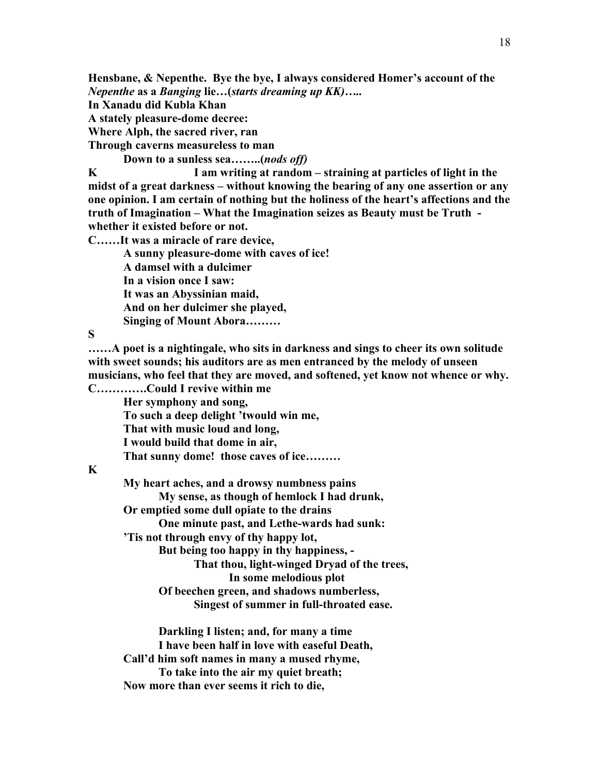**Hensbane, & Nepenthe. Bye the bye, I always considered Homer's account of the**  *Nepenthe* **as a** *Banging* **lie…(***starts dreaming up KK)…..*

**In Xanadu did Kubla Khan** 

**A stately pleasure-dome decree:**

**Where Alph, the sacred river, ran**

**Through caverns measureless to man**

**Down to a sunless sea……..(***nods off)*

**K****I am writing at random – straining at particles of light in the midst of a great darkness – without knowing the bearing of any one assertion or any one opinion. I am certain of nothing but the holiness of the heart's affections and the truth of Imagination – What the Imagination seizes as Beauty must be Truth whether it existed before or not.**

**C……It was a miracle of rare device,**

**A sunny pleasure-dome with caves of ice! A damsel with a dulcimer In a vision once I saw: It was an Abyssinian maid, And on her dulcimer she played, Singing of Mount Abora………**

**S**

**……A poet is a nightingale, who sits in darkness and sings to cheer its own solitude with sweet sounds; his auditors are as men entranced by the melody of unseen musicians, who feel that they are moved, and softened, yet know not whence or why. C………….Could I revive within me**

**Her symphony and song, To such a deep delight 'twould win me, That with music loud and long, I would build that dome in air, That sunny dome! those caves of ice………**

## **K**

**My heart aches, and a drowsy numbness pains My sense, as though of hemlock I had drunk, Or emptied some dull opiate to the drains One minute past, and Lethe-wards had sunk: 'Tis not through envy of thy happy lot, But being too happy in thy happiness, - That thou, light-winged Dryad of the trees, In some melodious plot Of beechen green, and shadows numberless, Singest of summer in full-throated ease.**

**Darkling I listen; and, for many a time I have been half in love with easeful Death, Call'd him soft names in many a mused rhyme, To take into the air my quiet breath; Now more than ever seems it rich to die,**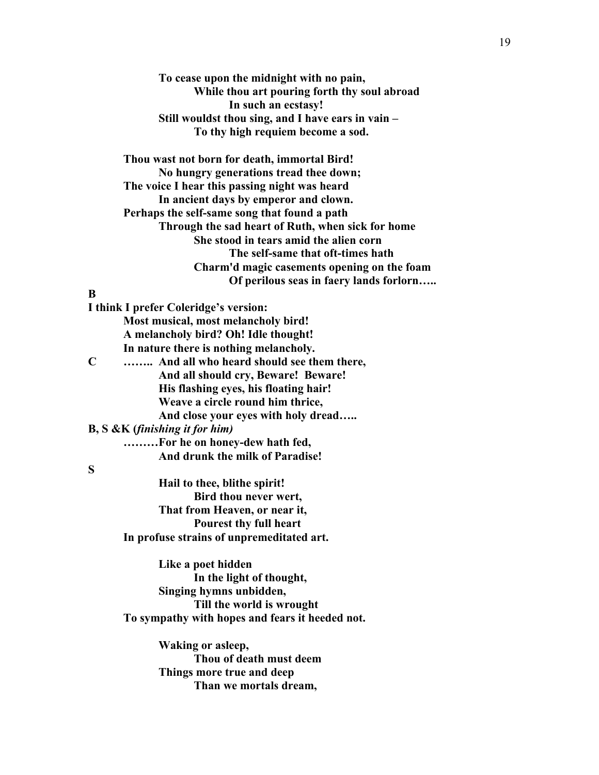**To cease upon the midnight with no pain, While thou art pouring forth thy soul abroad In such an ecstasy! Still wouldst thou sing, and I have ears in vain – To thy high requiem become a sod.**

**Thou wast not born for death, immortal Bird! No hungry generations tread thee down; The voice I hear this passing night was heard In ancient days by emperor and clown. Perhaps the self-same song that found a path Through the sad heart of Ruth, when sick for home She stood in tears amid the alien corn The self-same that oft-times hath Charm'd magic casements opening on the foam Of perilous seas in faery lands forlorn…..**

### **B**

**I think I prefer Coleridge's version: Most musical, most melancholy bird! A melancholy bird? Oh! Idle thought! In nature there is nothing melancholy. C …….. And all who heard should see them there, And all should cry, Beware! Beware! His flashing eyes, his floating hair! Weave a circle round him thrice, And close your eyes with holy dread….. B, S &K (***finishing it for him)* **………For he on honey-dew hath fed,**

 **And drunk the milk of Paradise!**

## **S**

**Hail to thee, blithe spirit! Bird thou never wert, That from Heaven, or near it, Pourest thy full heart In profuse strains of unpremeditated art.**

**Like a poet hidden In the light of thought, Singing hymns unbidden, Till the world is wrought To sympathy with hopes and fears it heeded not.**

> **Waking or asleep, Thou of death must deem Things more true and deep Than we mortals dream,**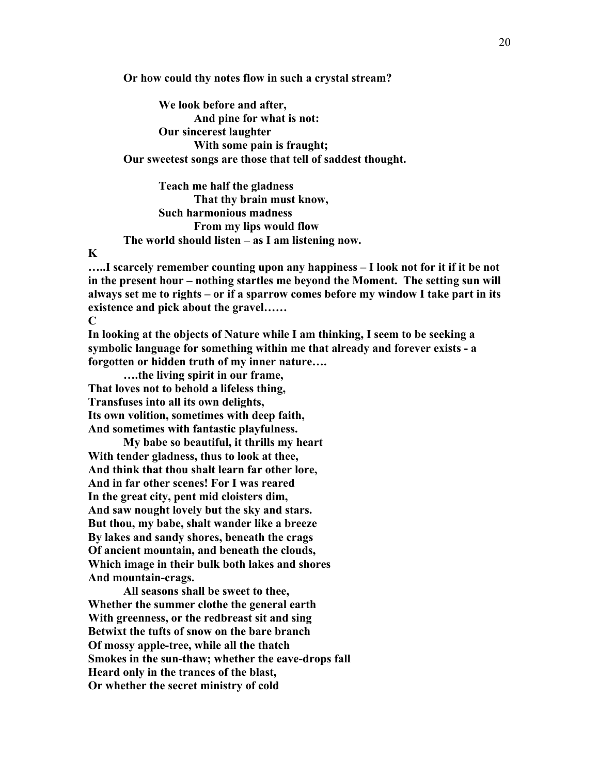**Or how could thy notes flow in such a crystal stream?**

**We look before and after, And pine for what is not: Our sincerest laughter With some pain is fraught; Our sweetest songs are those that tell of saddest thought.**

**Teach me half the gladness That thy brain must know, Such harmonious madness From my lips would flow The world should listen – as I am listening now.**

#### **K**

**…..I scarcely remember counting upon any happiness – I look not for it if it be not in the present hour – nothing startles me beyond the Moment. The setting sun will always set me to rights – or if a sparrow comes before my window I take part in its existence and pick about the gravel……**

**C**

**In looking at the objects of Nature while I am thinking, I seem to be seeking a symbolic language for something within me that already and forever exists - a forgotten or hidden truth of my inner nature….**

**….the living spirit in our frame, That loves not to behold a lifeless thing, Transfuses into all its own delights, Its own volition, sometimes with deep faith, And sometimes with fantastic playfulness.**

**My babe so beautiful, it thrills my heart With tender gladness, thus to look at thee, And think that thou shalt learn far other lore, And in far other scenes! For I was reared In the great city, pent mid cloisters dim, And saw nought lovely but the sky and stars. But thou, my babe, shalt wander like a breeze By lakes and sandy shores, beneath the crags Of ancient mountain, and beneath the clouds, Which image in their bulk both lakes and shores And mountain-crags.**

**All seasons shall be sweet to thee, Whether the summer clothe the general earth With greenness, or the redbreast sit and sing Betwixt the tufts of snow on the bare branch Of mossy apple-tree, while all the thatch Smokes in the sun-thaw; whether the eave-drops fall Heard only in the trances of the blast, Or whether the secret ministry of cold**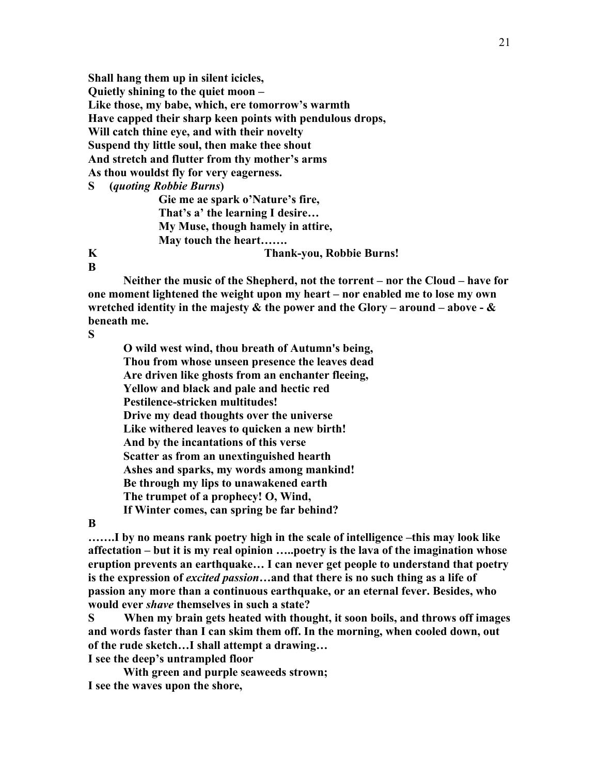**Shall hang them up in silent icicles, Quietly shining to the quiet moon – Like those, my babe, which, ere tomorrow's warmth Have capped their sharp keen points with pendulous drops, Will catch thine eye, and with their novelty Suspend thy little soul, then make thee shout And stretch and flutter from thy mother's arms As thou wouldst fly for very eagerness. S (***quoting Robbie Burns***)**

**Gie me ae spark o'Nature's fire, That's a' the learning I desire… My Muse, though hamely in attire, May touch the heart……. K Thank-you, Robbie Burns!**

# **B**

**Neither the music of the Shepherd, not the torrent – nor the Cloud – have for one moment lightened the weight upon my heart – nor enabled me to lose my own wretched identity in the majesty & the power and the Glory – around – above - & beneath me.**

#### **S**

**O wild west wind, thou breath of Autumn's being, Thou from whose unseen presence the leaves dead Are driven like ghosts from an enchanter fleeing, Yellow and black and pale and hectic red Pestilence-stricken multitudes! Drive my dead thoughts over the universe Like withered leaves to quicken a new birth! And by the incantations of this verse Scatter as from an unextinguished hearth Ashes and sparks, my words among mankind! Be through my lips to unawakened earth The trumpet of a prophecy! O, Wind, If Winter comes, can spring be far behind?**

#### **B**

**…….I by no means rank poetry high in the scale of intelligence –this may look like affectation – but it is my real opinion …..poetry is the lava of the imagination whose eruption prevents an earthquake… I can never get people to understand that poetry is the expression of** *excited passion…***and that there is no such thing as a life of passion any more than a continuous earthquake, or an eternal fever. Besides, who would ever** *shave* **themselves in such a state?**

**S When my brain gets heated with thought, it soon boils, and throws off images and words faster than I can skim them off. In the morning, when cooled down, out of the rude sketch…I shall attempt a drawing…**

**I see the deep's untrampled floor**

**With green and purple seaweeds strown; I see the waves upon the shore,**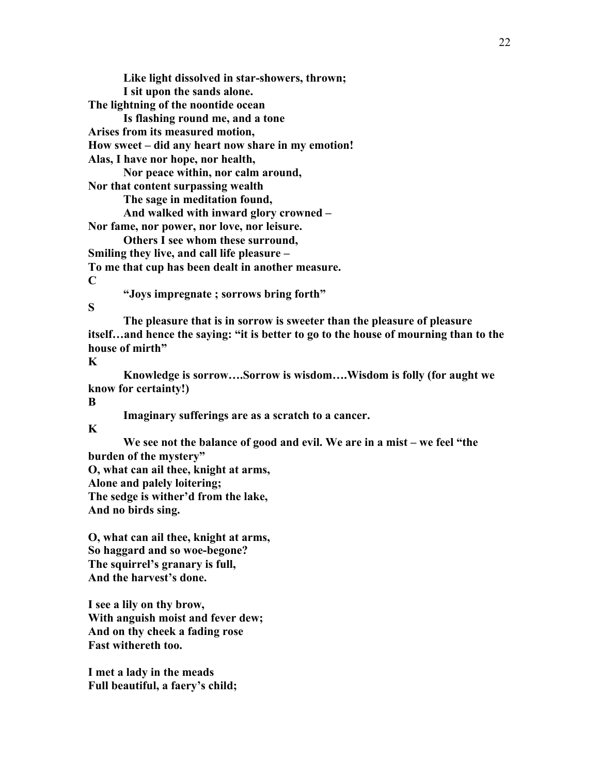**Like light dissolved in star-showers, thrown; I sit upon the sands alone. The lightning of the noontide ocean**

**Is flashing round me, and a tone**

**Arises from its measured motion,**

**How sweet – did any heart now share in my emotion!**

**Alas, I have nor hope, nor health,**

**Nor peace within, nor calm around,**

**Nor that content surpassing wealth**

**The sage in meditation found,**

**And walked with inward glory crowned –**

**Nor fame, nor power, nor love, nor leisure.**

**Others I see whom these surround, Smiling they live, and call life pleasure – To me that cup has been dealt in another measure.**

**C**

**"Joys impregnate ; sorrows bring forth"**

## **S**

**The pleasure that is in sorrow is sweeter than the pleasure of pleasure itself…and hence the saying: "it is better to go to the house of mourning than to the house of mirth"**

**K**

**Knowledge is sorrow….Sorrow is wisdom….Wisdom is folly (for aught we know for certainty!)**

**B**

**Imaginary sufferings are as a scratch to a cancer.**

**K**

**We see not the balance of good and evil. We are in a mist – we feel "the burden of the mystery" O, what can ail thee, knight at arms,**

**Alone and palely loitering;**

**The sedge is wither'd from the lake,**

**And no birds sing.**

**O, what can ail thee, knight at arms, So haggard and so woe-begone? The squirrel's granary is full, And the harvest's done.**

**I see a lily on thy brow, With anguish moist and fever dew; And on thy cheek a fading rose Fast withereth too.**

**I met a lady in the meads Full beautiful, a faery's child;**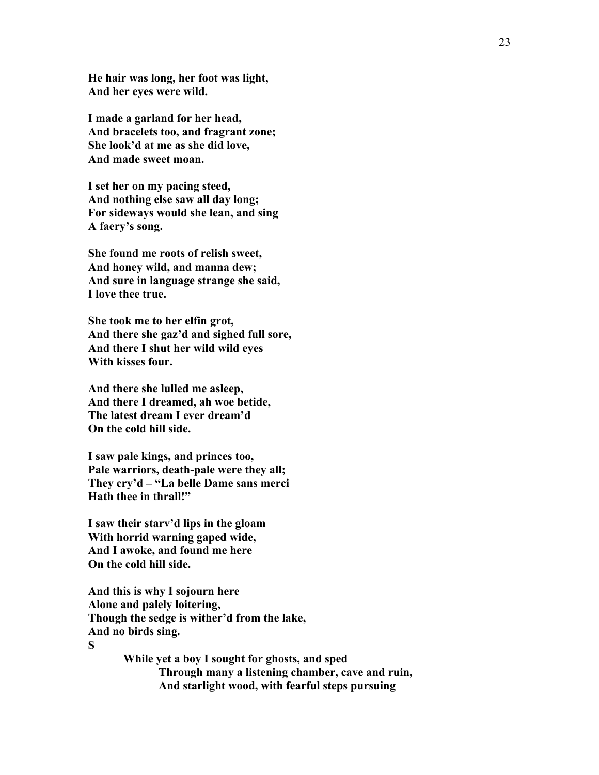**He hair was long, her foot was light, And her eyes were wild.**

**I made a garland for her head, And bracelets too, and fragrant zone; She look'd at me as she did love, And made sweet moan.**

**I set her on my pacing steed, And nothing else saw all day long; For sideways would she lean, and sing A faery's song.**

**She found me roots of relish sweet, And honey wild, and manna dew; And sure in language strange she said, I love thee true.**

**She took me to her elfin grot, And there she gaz'd and sighed full sore, And there I shut her wild wild eyes With kisses four.**

**And there she lulled me asleep, And there I dreamed, ah woe betide, The latest dream I ever dream'd On the cold hill side.**

**I saw pale kings, and princes too, Pale warriors, death-pale were they all; They cry'd – "La belle Dame sans merci Hath thee in thrall!"**

**I saw their starv'd lips in the gloam With horrid warning gaped wide, And I awoke, and found me here On the cold hill side.**

**And this is why I sojourn here Alone and palely loitering, Though the sedge is wither'd from the lake, And no birds sing. S**

> **While yet a boy I sought for ghosts, and sped Through many a listening chamber, cave and ruin, And starlight wood, with fearful steps pursuing**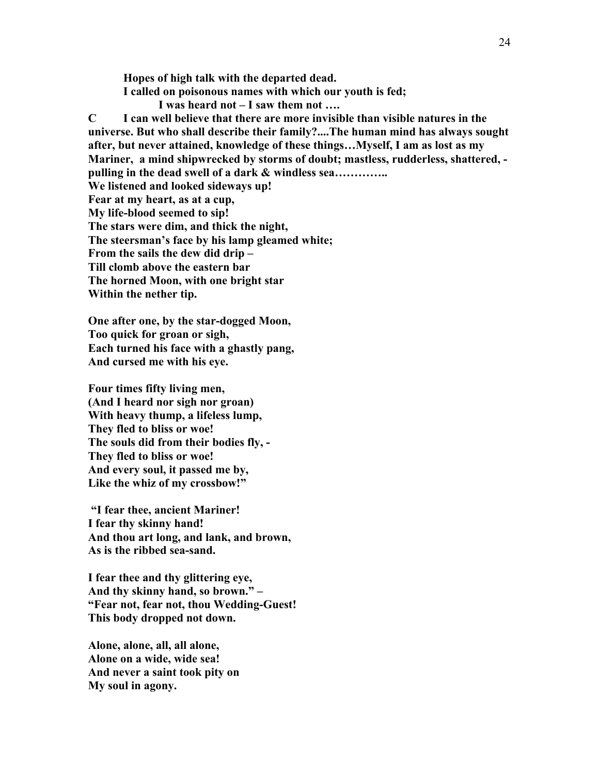**Hopes of high talk with the departed dead. I called on poisonous names with which our youth is fed; I was heard not – I saw them not ….**

**C I can well believe that there are more invisible than visible natures in the universe. But who shall describe their family?....The human mind has always sought after, but never attained, knowledge of these things…Myself, I am as lost as my Mariner, a mind shipwrecked by storms of doubt; mastless, rudderless, shattered, pulling in the dead swell of a dark & windless sea………….. We listened and looked sideways up! Fear at my heart, as at a cup, My life-blood seemed to sip! The stars were dim, and thick the night, The steersman's face by his lamp gleamed white; From the sails the dew did drip – Till clomb above the eastern bar The horned Moon, with one bright star Within the nether tip.**

**One after one, by the star-dogged Moon, Too quick for groan or sigh, Each turned his face with a ghastly pang, And cursed me with his eye.**

**Four times fifty living men, (And I heard nor sigh nor groan) With heavy thump, a lifeless lump, They fled to bliss or woe! The souls did from their bodies fly, - They fled to bliss or woe! And every soul, it passed me by, Like the whiz of my crossbow!"**

**"I fear thee, ancient Mariner! I fear thy skinny hand! And thou art long, and lank, and brown, As is the ribbed sea-sand.**

**I fear thee and thy glittering eye, And thy skinny hand, so brown." – "Fear not, fear not, thou Wedding-Guest! This body dropped not down.**

**Alone, alone, all, all alone, Alone on a wide, wide sea! And never a saint took pity on My soul in agony.**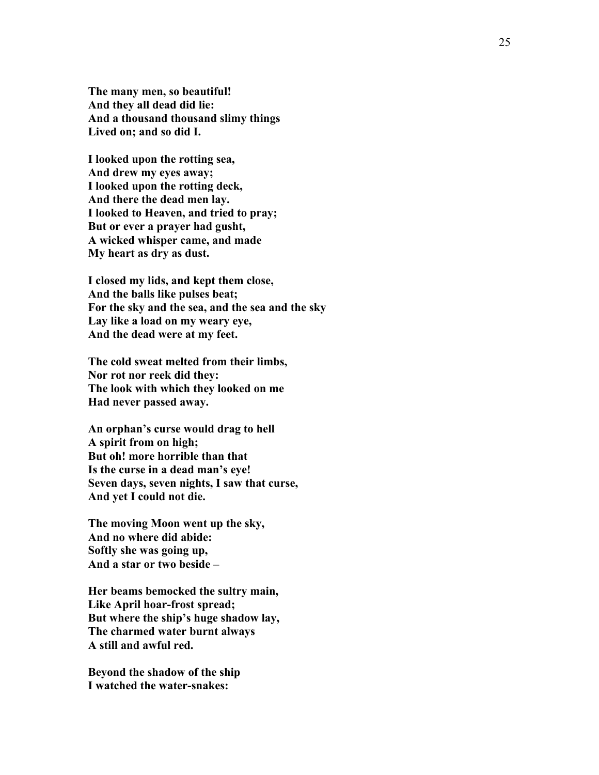**The many men, so beautiful! And they all dead did lie: And a thousand thousand slimy things Lived on; and so did I.**

**I looked upon the rotting sea, And drew my eyes away; I looked upon the rotting deck, And there the dead men lay. I looked to Heaven, and tried to pray; But or ever a prayer had gusht, A wicked whisper came, and made My heart as dry as dust.**

**I closed my lids, and kept them close, And the balls like pulses beat; For the sky and the sea, and the sea and the sky Lay like a load on my weary eye, And the dead were at my feet.**

**The cold sweat melted from their limbs, Nor rot nor reek did they: The look with which they looked on me Had never passed away.**

**An orphan's curse would drag to hell A spirit from on high; But oh! more horrible than that Is the curse in a dead man's eye! Seven days, seven nights, I saw that curse, And yet I could not die.**

**The moving Moon went up the sky, And no where did abide: Softly she was going up, And a star or two beside –**

**Her beams bemocked the sultry main, Like April hoar -frost spread; But where the ship's huge shadow lay, The charmed water burnt always A still and awful red.**

**Beyond the shadow of the ship I watched the water -snakes:**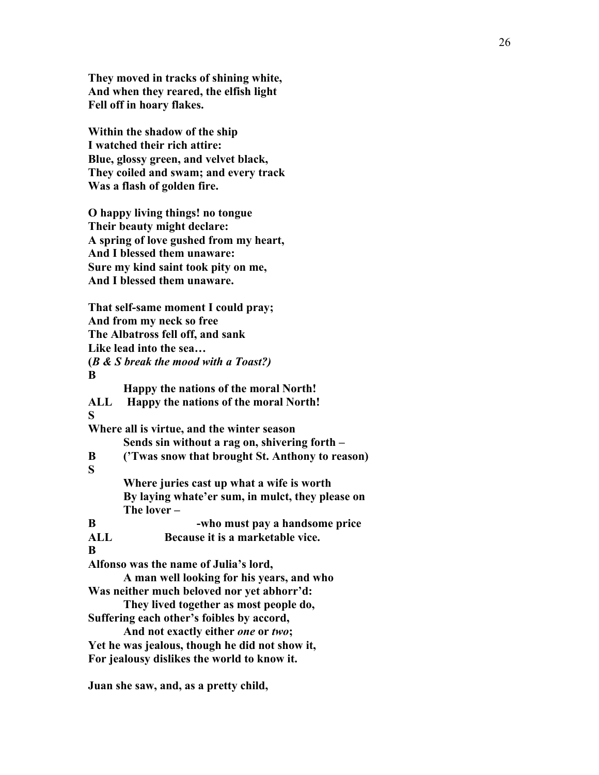**They moved in tracks of shining white, And when they reared, the elfish light Fell off in hoary flakes.**

**Within the shadow of the ship I watched their rich attire: Blue, glossy green, and velvet black, They coiled and swam; and every track Was a flash of golden fire.**

**O happy living things! no tongue Their beauty might declare: A spring of love gushed from my heart, And I blessed them unaware: Sure my kind saint took pity on me, And I blessed them unaware.**

**That self-same moment I could pray; And from my neck so free The Albatross fell off, and sank Like lead into the sea… (***B & S break the mood with a Toast?)* **B Happy the nations of the moral North! ALL Happy the nations of the moral North! S Where all is virtue, and the winter season Sends sin without a rag on, shivering forth – B ('Twas snow that brought St. Anthony to reason) S Where juries cast up what a wife is worth By laying whate'er sum, in mulct, they please on The lover – B -who must pay a handsome price ALL Because it is a marketable vice. B Alfonso was the name of Julia's lord, A man well looking for his years, and who Was neither much beloved nor yet abhorr'd: They lived together as most people do, Suffering each other's foibles by accord, And not exactly either** *one* **or** *two***; Yet he was jealous, though he did not show it, For jealousy dislikes the world to know it.**

**Juan she saw, and, as a pretty child,**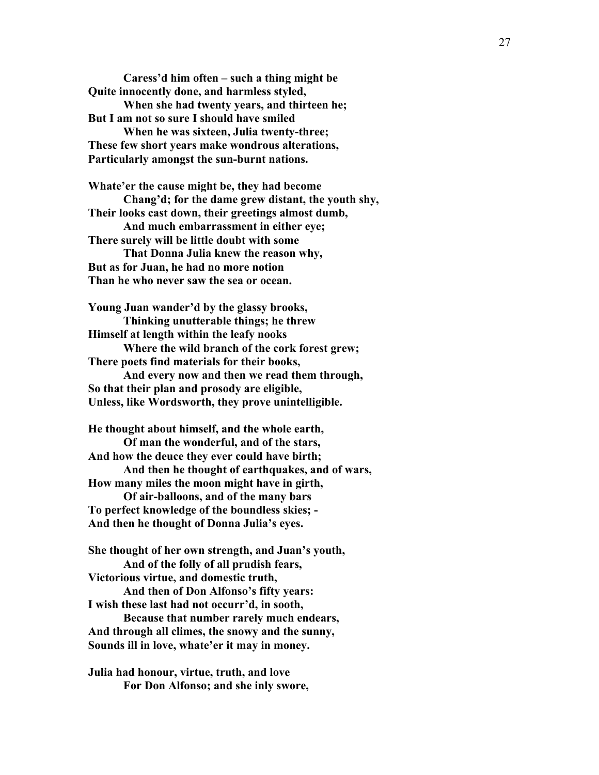**Caress'd him often – such a thing might be Quite innocently done, and harmless styled, When she had twenty years, and thirteen he; But I am not so sure I should have smiled When he was sixteen, Julia twenty-three;**

**These few short years make wondrous alterations, Particularly amongst the sun-burnt nations.**

**Whate'er the cause might be, they had become**

**Chang'd; for the dame grew distant, the youth shy, Their looks cast down, their greetings almost dumb,**

**And much embarrassment in either eye; There surely will be little doubt with some**

**That Donna Julia knew the reason why, But as for Juan, he had no more notion Than he who never saw the sea or ocean.**

**Young Juan wander'd by the glassy brooks, Thinking unutterable things; he threw Himself at length within the leafy nooks Where the wild branch of the cork forest grew;**

**There poets find materials for their books,**

**And every now and then we read them through, So that their plan and prosody are eligible, Unless, like Wordsworth, they prove unintelligible.**

**He thought about himself, and the whole earth, Of man the wonderful, and of the stars, And how the deuce they ever could have birth; And then he thought of earthquakes, and of wars, How many miles the moon might have in girth, Of air-balloons, and of the many bars**

**To perfect knowledge of the boundless skies; - And then he thought of Donna Julia's eyes.**

**She thought of her own strength, and Juan's youth, And of the folly of all prudish fears, Victorious virtue, and domestic truth,**

**And then of Don Alfonso's fifty years: I wish these last had not occurr'd, in sooth,**

**Because that number rarely much endears, And through all climes, the snowy and the sunny, Sounds ill in love, whate'er it may in money.**

**Julia had honour, virtue, truth, and love For Don Alfonso; and she inly swore,**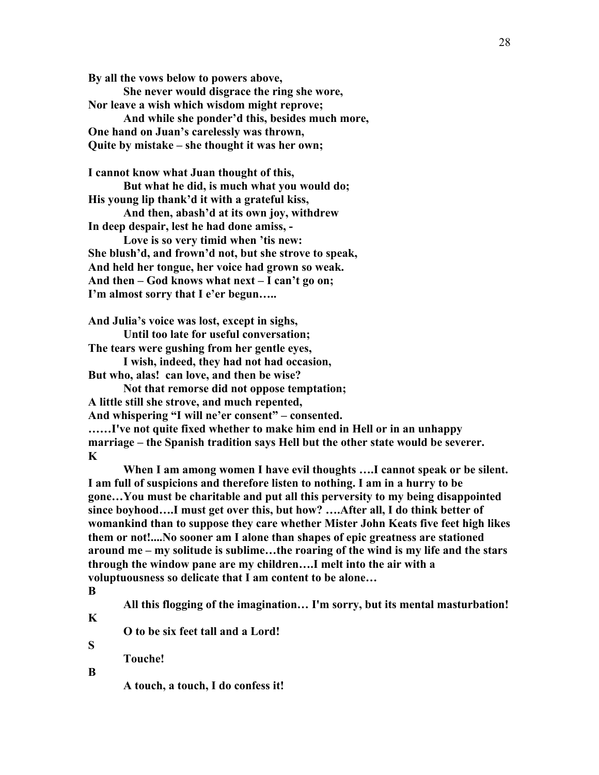**By all the vows below to powers above,**

**She never would disgrace the ring she wore, Nor leave a wish which wisdom might reprove;**

**And while she ponder'd this, besides much more, One hand on Juan's carelessly was thrown, Quite by mistake – she thought it was her own;**

**I cannot know what Juan thought of this,**

**But what he did, is much what you would do; His young lip thank'd it with a grateful kiss,**

**And then, abash'd at its own joy, withdrew In deep despair, lest he had done amiss, -**

**Love is so very timid when 'tis new: She blush'd, and frown'd not, but she strove to speak, And held her tongue, her voice had grown so weak. And then – God knows what next – I can't go on; I'm almost sorry that I e'er begun…..**

**And Julia's voice was lost, except in sighs,**

**Until too late for useful conversation;**

**The tears were gushing from her gentle eyes, I wish, indeed, they had not had occasion,**

**But who, alas! can love, and then be wise?**

**Not that remorse did not oppose temptation; A little still she strove, and much repented,**

**And whispering "I will ne'er consent" – consented.**

**……I've not quite fixed whether to make him end in Hell or in an unhappy marriage – the Spanish tradition says Hell but the other state would be severer. K**

**When I am among women I have evil thoughts ….I cannot speak or be silent. I am full of suspicions and therefore listen to nothing. I am in a hurry to be gone…You must be charitable and put all this perversity to my being disappointed since boyhood….I must get over this, but how? ….After all, I do think better of womankind than to suppose they care whether Mister John Keats five feet high likes them or not!....No sooner am I alone than shapes of epic greatness are stationed around me – my solitude is sublime…the roaring of the wind is my life and the stars through the window pane are my children….I melt into the air with a voluptuousness so delicate that I am content to be alone…**

**B**

**All this flogging of the imagination… I'm sorry, but its mental masturbation!**

**K**

**S**

**O to be six feet tall and a Lord!**

**Touche!**

**B**

**A touch, a touch, I do confess it!**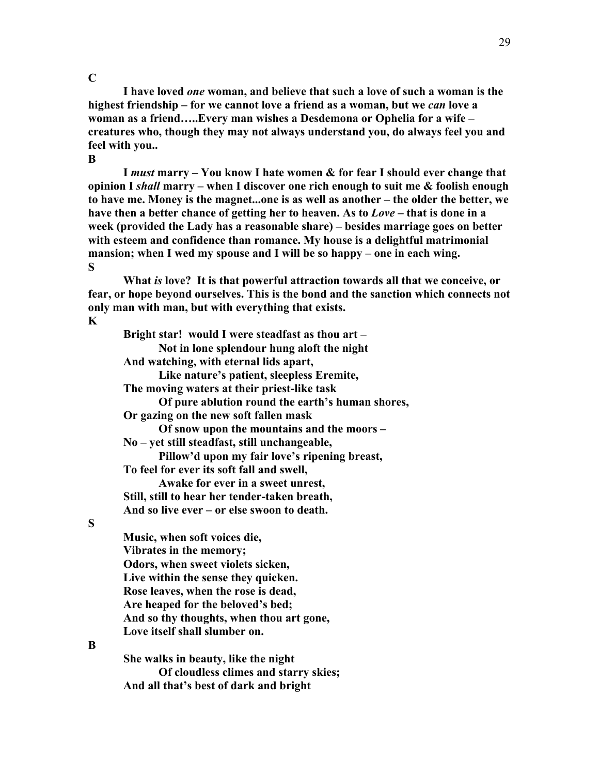### **C**

**B**

**I have loved** *one* **woman, and believe that such a love of such a woman is the highest friendship – for we cannot love a friend as a woman, but we** *can* **love a woman as a friend…..Every man wishes a Desdemona or Ophelia for a wife – creatures who, though they may not always understand you, do always feel you and feel with you..**

**I** *must* **marry – You know I hate women & for fear I should ever change that opinion I** *shall* **marry – when I discover one rich enough to suit me & foolish enough to have me. Money is the magnet...one is as well as another – the older the better, we have then a better chance of getting her to heaven. As to** *Love* **– that is done in a week (provided the Lady has a reasonable share) – besides marriage goes on better with esteem and confidence than romance. My house is a delightful matrimonial mansion; when I wed my spouse and I will be so happy – one in each wing. S**

**What** *is* **love? It is that powerful attraction towards all that we conceive, or fear, or hope beyond ourselves. This is the bond and the sanction which connects not only man with man, but with everything that exists.** 

## **K**

**Bright star! would I were steadfast as thou art – Not in lone splendour hung aloft the night And watching, with eternal lids apart, Like nature's patient, sleepless Eremite, The moving waters at their priest-like task Of pure ablution round the earth's human shores, Or gazing on the new soft fallen mask Of snow upon the mountains and the moors – No – yet still steadfast, still unchangeable, Pillow'd upon my fair love's ripening breast, To feel for ever its soft fall and swell, Awake for ever in a sweet unrest, Still, still to hear her tender-taken breath, And so live ever – or else swoon to death.**

## **S**

**Music, when soft voices die, Vibrates in the memory; Odors, when sweet violets sicken, Live within the sense they quicken. Rose leaves, when the rose is dead, Are heaped for the beloved's bed; And so thy thoughts, when thou art gone, Love itself shall slumber on.**

#### **B**

**She walks in beauty, like the night Of cloudless climes and starry skies; And all that's best of dark and bright**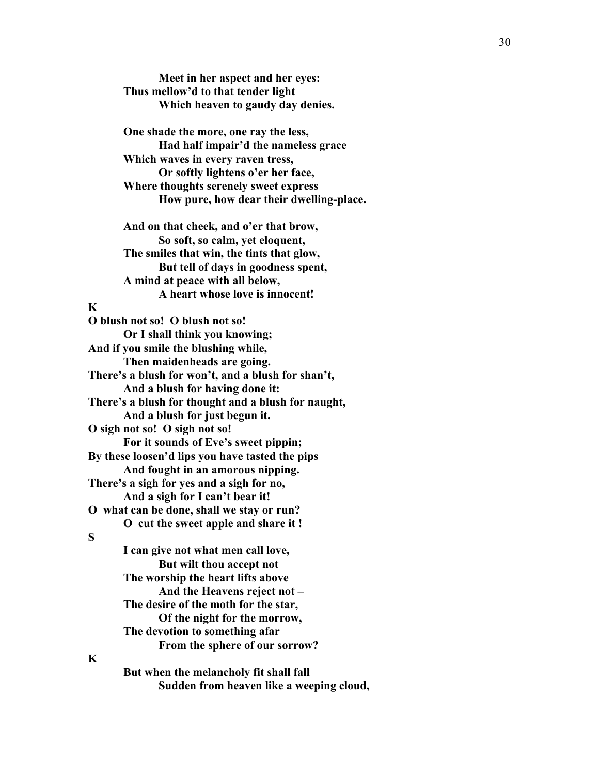**Meet in her aspect and her eyes: Thus mellow'd to that tender light Which heaven to gaudy day denies.**

**One shade the more, one ray the less, Had half impair'd the nameless grace Which waves in every raven tress, Or softly lightens o'er her face, Where thoughts serenely sweet express How pure, how dear their dwelling -place.**

**And on that cheek, and o'er that brow, So soft, so calm, yet eloquent, The smiles that win, the tints that glow, But tell of days in goodness spent, A mind at peace with all below, A heart whose love is innocent!**

## **K**

**O blush not so! O blush not so! Or I shall think you knowing; And if you smile the blushing while, Then maidenheads are going. There's a blush for won't, and a blush for shan't, And a blush for having done it: There's a blush for thought and a blush for naught, And a blush for just begun it. O sigh not so! O sigh not so! For it sounds of Eve's sweet pippin; By these loosen'd lips you have tasted the pips And fought in an amorous nipping. There's a sigh for yes and a sigh for no, And a sigh for I can't bear it! O what can be done, shall we stay or run? O cut the sweet apple and share it ! S I can give not what men call love, But wilt thou accept not The worship the heart lifts above And the Heavens reject not – The desire of the moth for the star, Of the night for the morrow, The devotion to something afar From the sphere of our sorrow?**

## **K**

**But when the melancholy fit shall fall Sudden from heaven like a weeping cloud,**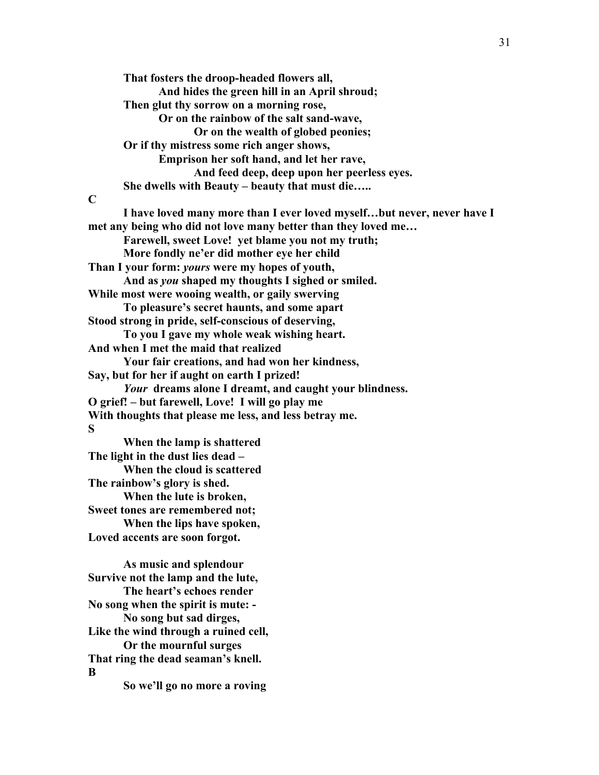**That fosters the droop-headed flowers all, And hides the green hill in an April shroud; Then glut thy sorrow on a morning rose, Or on the rainbow of the salt sand-wave, Or on the wealth of globed peonies; Or if thy mistress some rich anger shows, Emprison her soft hand, and let her rave, And feed deep, deep upon her peerless eyes. She dwells with Beauty – beauty that must die….. C I have loved many more than I ever loved myself…but never, never have I met any being who did not love many better than they loved me… Farewell, sweet Love! yet blame you not my truth; More fondly ne'er did mother eye her child Than I your form:** *yours* **were my hopes of youth, And as** *you* **shaped my thoughts I sighed or smiled. While most were wooing wealth, or gaily swerving To pleasure's secret haunts, and some apart Stood strong in pride, self-conscious of deserving, To you I gave my whole weak wishing heart. And when I met the maid that realized Your fair creations, and had won her kindness, Say, but for her if aught on earth I prized!** *Your* **dreams alone I dreamt, and caught your blindness. O grief! – but farewell, Love! I will go play me With thoughts that please me less, and less betray me. S When the lamp is shattered The light in the dust lies dead – When the cloud is scattered The rainbow's glory is shed. When the lute is broken, Sweet tones are remembered not; When the lips have spoken, Loved accents are soon forgot. As music and splendour Survive not the lamp and the lute, The heart's echoes render No song when the spirit is mute: - No song but sad dirges, Like the wind through a ruined cell, Or the mournful surges**

**That ring the dead seaman's knell. B**

 **So we'll go no more a roving**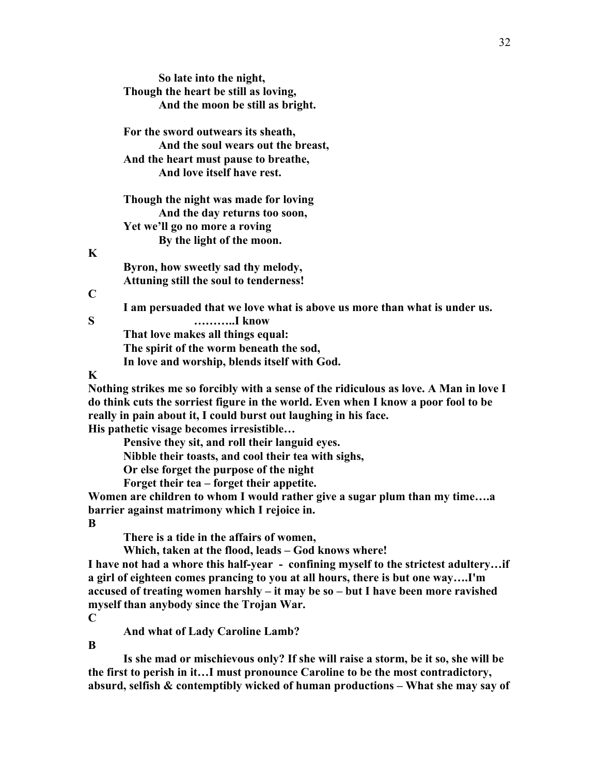|             | So late into the night,                                                                |
|-------------|----------------------------------------------------------------------------------------|
|             | Though the heart be still as loving,                                                   |
|             | And the moon be still as bright.                                                       |
|             | For the sword outwears its sheath,                                                     |
|             | And the soul wears out the breast,                                                     |
|             | And the heart must pause to breathe,                                                   |
|             | And love itself have rest.                                                             |
|             | Though the night was made for loving                                                   |
|             | And the day returns too soon,                                                          |
|             | Yet we'll go no more a roving                                                          |
|             | By the light of the moon.                                                              |
| K           |                                                                                        |
|             | Byron, how sweetly sad thy melody,                                                     |
|             | Attuning still the soul to tenderness!                                                 |
| $\mathbf C$ |                                                                                        |
|             | I am persuaded that we love what is above us more than what is under us.               |
| S           | I know                                                                                 |
|             | That love makes all things equal:                                                      |
|             | The spirit of the worm beneath the sod,                                                |
|             | In love and worship, blends itself with God.                                           |
| $\mathbf K$ |                                                                                        |
|             | Nothing strikes me so forcibly with a sense of the ridiculous as love. A Man in love I |
|             | do think cuts the sorriest figure in the world. Even when I know a poor fool to be     |
|             | really in pain about it, I could burst out laughing in his face.                       |
|             | His pathetic visage becomes irresistible                                               |
|             |                                                                                        |

**Pensive they sit, and roll their languid eyes.**

**Nibble their toasts, and cool their tea with sighs,**

**Or else forget the purpose of the night**

**Forget their tea – forget their appetite.**

**Women are children to whom I would rather give a sugar plum than my time….a barrier against matrimony which I rejoice in.**

**B**

**K**

**C**

**There is a tide in the affairs of women,**

**Which, taken at the flood, leads – God knows where!**

**I have not had a whore this half-year - confining myself to the strictest adultery…if a girl of eighteen comes prancing to you at all hours, there is but one way….I'm accused of treating women harshly – it may be so – but I have been more ravished myself than anybody since the Trojan War.**

**C**

**And what of Lady Caroline Lamb?**

**B**

**Is she mad or mischievous only? If she will raise a storm, be it so, she will be the first to perish in it…I must pronounce Caroline to be the most contradictory, absurd, selfish & contemptibly wicked of human productions – What she may say of**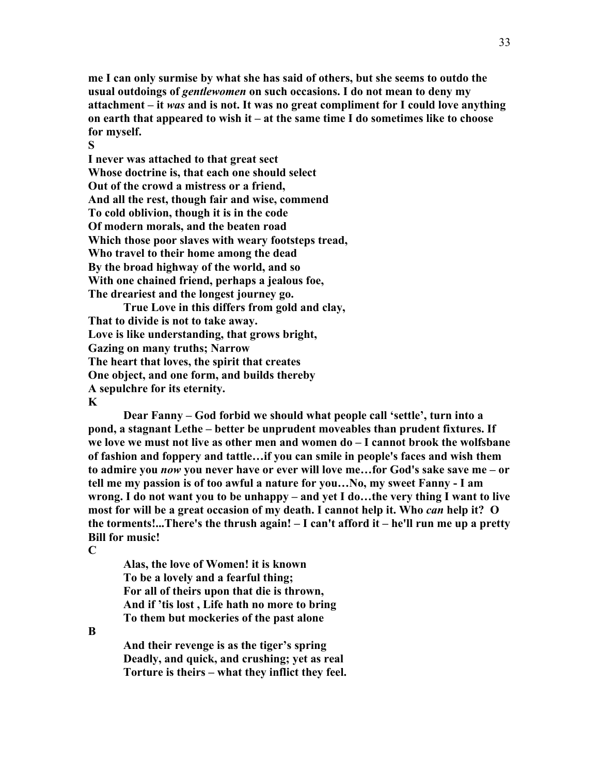**me I can only surmise by what she has said of others, but she seems to outdo the usual outdoings of** *gentlewomen* **on such occasions. I do not mean to deny my attachment – it** *was* **and is not. It was no great compliment for I could love anything on earth that appeared to wish it – at the same time I do sometimes like to choose for myself.**

**S**

**I never was attached to that great sect Whose doctrine is, that each one should select Out of the crowd a mistress or a friend, And all the rest, though fair and wise, commend To cold oblivion, though it is in the code Of modern morals, and the beaten road Which those poor slaves with weary footsteps tread, Who travel to their home among the dead By the broad highway of the world, and so With one chained friend, perhaps a jealous foe, The dreariest and the longest journey go.**

**True Love in this differs from gold and clay, That to divide is not to take away. Love is like understanding, that grows bright, Gazing on many truths; Narrow The heart that loves, the spirit that creates One object, and one form, and builds thereby A sepulchre for its eternity. K**

**Dear Fanny – God forbid we should what people call 'settle', turn into a pond, a stagnant Lethe – better be unprudent moveables than prudent fixtures. If we love we must not live as other men and women do – I cannot brook the wolfsbane of fashion and foppery and tattle…if you can smile in people's faces and wish them to admire you** *now* **you never have or ever will love me…for God's sake save me – or tell me my passion is of too awful a nature for you…No, my sweet Fanny - I am wrong. I do not want you to be unhappy – and yet I do…the very thing I want to live most for will be a great occasion of my death. I cannot help it. Who** *can* **help it? O the torments!...There's the thrush again! – I can't afford it – he'll run me up a pretty Bill for music!**

**C**

**Alas, the love of Women! it is known To be a lovely and a fearful thing; For all of theirs upon that die is thrown, And if 'tis lost , Life hath no more to bring To them but mockeries of the past alone**

**B**

**And their revenge is as the tiger's spring Deadly, and quick, and crushing; yet as real Torture is theirs – what they inflict they feel.**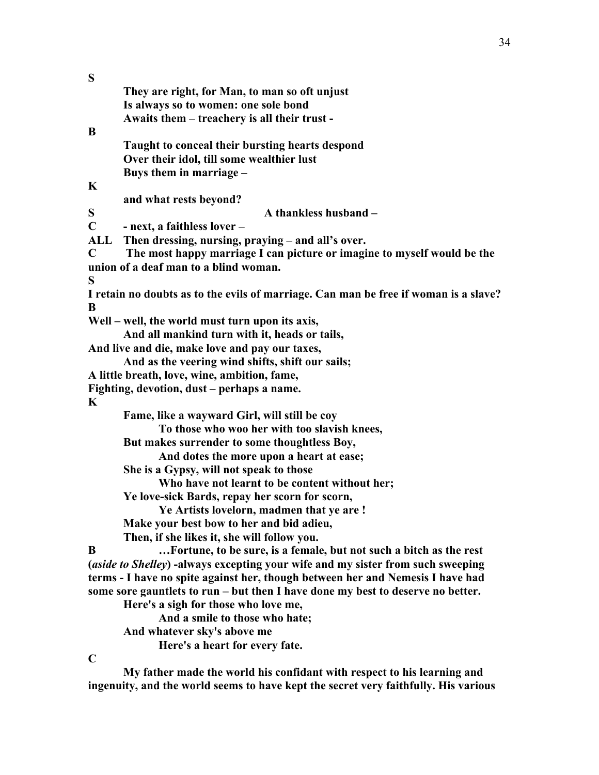| S           |                                                                                      |
|-------------|--------------------------------------------------------------------------------------|
|             | They are right, for Man, to man so oft unjust                                        |
|             | Is always so to women: one sole bond                                                 |
|             | Awaits them – treachery is all their trust -                                         |
| B           |                                                                                      |
|             | Taught to conceal their bursting hearts despond                                      |
|             | Over their idol, till some wealthier lust                                            |
|             | Buys them in marriage -                                                              |
| $\mathbf K$ |                                                                                      |
|             | and what rests beyond?                                                               |
| S           | A thankless husband -                                                                |
| $\mathbf C$ | - next, a faithless lover -                                                          |
| <b>ALL</b>  | Then dressing, nursing, praying - and all's over.                                    |
| $\mathbf C$ | The most happy marriage I can picture or imagine to myself would be the              |
|             | union of a deaf man to a blind woman.                                                |
| S           |                                                                                      |
|             | I retain no doubts as to the evils of marriage. Can man be free if woman is a slave? |
| B           |                                                                                      |
|             | Well – well, the world must turn upon its axis,                                      |
|             | And all mankind turn with it, heads or tails,                                        |
|             | And live and die, make love and pay our taxes,                                       |
|             | And as the veering wind shifts, shift our sails;                                     |
|             | A little breath, love, wine, ambition, fame,                                         |
|             | Fighting, devotion, dust - perhaps a name.                                           |
| K           |                                                                                      |
|             | Fame, like a wayward Girl, will still be coy                                         |
|             | To those who woo her with too slavish knees,                                         |
|             | But makes surrender to some thoughtless Boy,                                         |
|             | And dotes the more upon a heart at ease;                                             |
|             | She is a Gypsy, will not speak to those                                              |
|             | Who have not learnt to be content without her;                                       |
|             | Ye love-sick Bards, repay her scorn for scorn,                                       |
|             | Ye Artists lovelorn, madmen that ye are!                                             |
|             | Make your best bow to her and bid adieu,                                             |
|             | Then, if she likes it, she will follow you.                                          |
| B           | Fortune, to be sure, is a female, but not such a bitch as the rest                   |
|             | (aside to Shelley) -always excepting your wife and my sister from such sweeping      |
|             | terms - I have no spite against her, though between her and Nemesis I have had       |
|             | some sore gauntlets to run – but then I have done my best to deserve no better.      |
|             | Here's a sigh for those who love me,                                                 |
|             | And a smile to those who hate;                                                       |
|             | And whatever sky's above me                                                          |
|             | Here's a heart for every fate.                                                       |
| $\mathbf C$ |                                                                                      |

**My father made the world his confidant with respect to his learning and ingenuity, and the world seems to have kept the secret very faithfully. His various**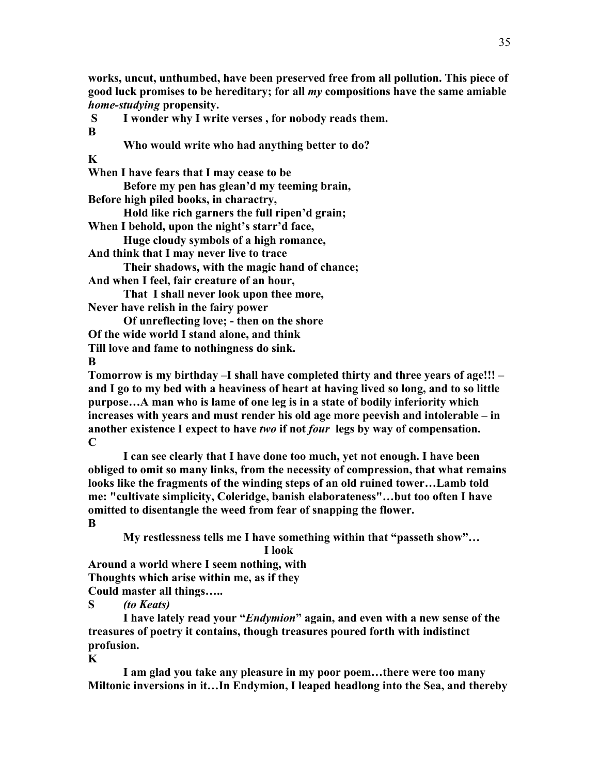**works, uncut, unthumbed, have been preserved free from all pollution. This piece of good luck promises to be hereditary; for all** *my* **compositions have the same amiable**  *home-studying* **propensity.**

**S I wonder why I write verses , for nobody reads them. B**

**Who would write who had anything better to do?**

**K**

**When I have fears that I may cease to be**

**Before my pen has glean'd my teeming brain,**

**Before high piled books, in charactry,**

**Hold like rich garners the full ripen'd grain;**

**When I behold, upon the night's starr'd face,**

**Huge cloudy symbols of a high romance,**

**And think that I may never live to trace**

**Their shadows, with the magic hand of chance;**

**And when I feel, fair creature of an hour,**

**That I shall never look upon thee more, Never have relish in the fairy power**

**Of unreflecting love; - then on the shore**

**Of the wide world I stand alone, and think Till love and fame to nothingness do sink.**

**B**

**Tomorrow is my birthday –I shall have completed thirty and three years of age!!! – and I go to my bed with a heaviness of heart at having lived so long, and to so little purpose…A man who is lame of one leg is in a state of bodily inferiority which increases with years and must render his old age more peevish and intolerable – in another existence I expect to have** *two* **if not** *four* **legs by way of compensation. C**

**I can see clearly that I have done too much, yet not enough. I have been obliged to omit so many links, from the necessity of compression, that what remains looks like the fragments of the winding steps of an old ruined tower…Lamb told me: "cultivate simplicity, Coleridge, banish elaborateness"…but too often I have omitted to disentangle the weed from fear of snapping the flower.**

**B**

**My restlessness tells me I have something within that "passeth show"…**

**I look**

**Around a world where I seem nothing, with Thoughts which arise within me, as if they Could master all things…..**

**S** *(to Keats)*

**I have lately read your "***Endymion***" again, and even with a new sense of the treasures of poetry it contains, though treasures poured forth with indistinct profusion.** 

**K**

**I am glad you take any pleasure in my poor poem…there were too many Miltonic inversions in it…In Endymion, I leaped headlong into the Sea, and thereby**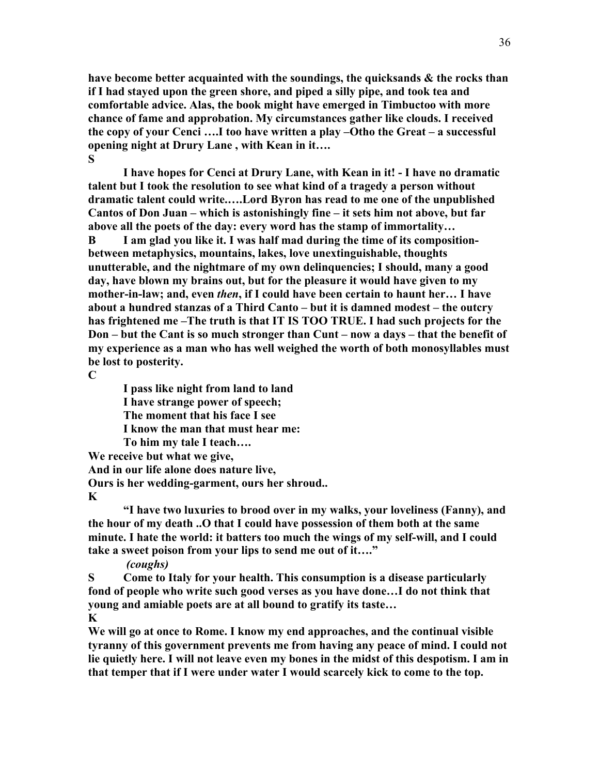**have become better acquainted with the soundings, the quicksands & the rocks than if I had stayed upon the green shore, and piped a silly pipe, and took tea and comfortable advice. Alas, the book might have emerged in Timbuctoo with more chance of fame and approbation. My circumstances gather like clouds. I received the copy of your Cenci ….I too have written a play –Otho the Great – a successful opening night at Drury Lane , with Kean in it…. S**

**I have hopes for Cenci at Drury Lane, with Kean in it! - I have no dramatic talent but I took the resolution to see what kind of a tragedy a person without dramatic talent could write.….Lord Byron has read to me one of the unpublished Cantos of Don Juan – which is astonishingly fine – it sets him not above, but far above all the poets of the day: every word has the stamp of immortality…**

**B I am glad you like it. I was half mad during the time of its compositionbetween metaphysics, mountains, lakes, love unextinguishable, thoughts unutterable, and the nightmare of my own delinquencies; I should, many a good day, have blown my brains out, but for the pleasure it would have given to my mother-in-law; and, even** *then***, if I could have been certain to haunt her… I have about a hundred stanzas of a Third Canto – but it is damned modest – the outcry has frightened me –The truth is that IT IS TOO TRUE. I had such projects for the Don – but the Cant is so much stronger than Cunt – now a days – that the benefit of my experience as a man who has well weighed the worth of both monosyllables must be lost to posterity.**

**C**

**I pass like night from land to land**

**I have strange power of speech;**

**The moment that his face I see**

**I know the man that must hear me:**

**To him my tale I teach….**

**We receive but what we give,**

**And in our life alone does nature live,**

**Ours is her wedding-garment, ours her shroud..**

## **K**

**"I have two luxuries to brood over in my walks, your loveliness (Fanny), and the hour of my death ..O that I could have possession of them both at the same minute. I hate the world: it batters too much the wings of my self-will, and I could take a sweet poison from your lips to send me out of it…."** 

*(coughs)*

**S Come to Italy for your health. This consumption is a disease particularly fond of people who write such good verses as you have done…I do not think that young and amiable poets are at all bound to gratify its taste… K**

**We will go at once to Rome. I know my end approaches, and the continual visible tyranny of this government prevents me from having any peace of mind. I could not lie quietly here. I will not leave even my bones in the midst of this despotism. I am in that temper that if I were under water I would scarcely kick to come to the top.**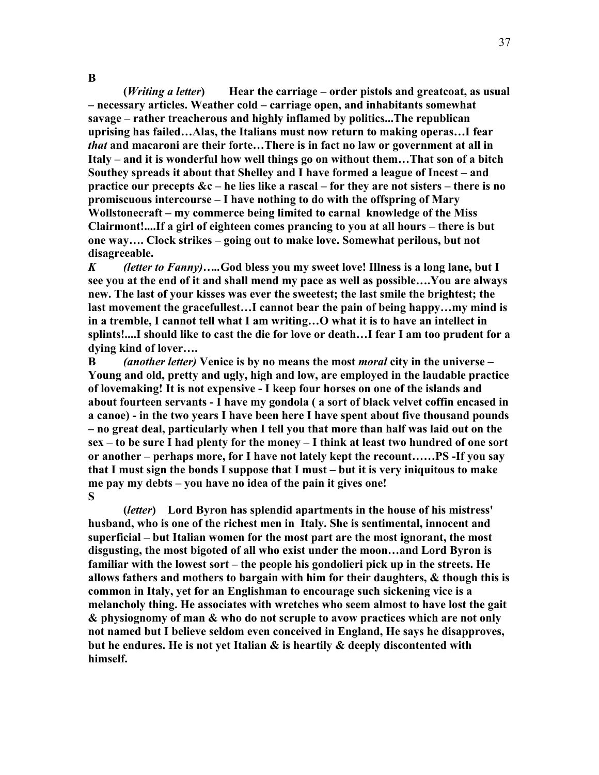**(***Writing a letter***) Hear the carriage – order pistols and greatcoat, as usual – necessary articles. Weather cold – carriage open, and inhabitants somewhat savage – rather treacherous and highly inflamed by politics...The republican uprising has failed…Alas, the Italians must now return to making operas…I fear**  *that* **and macaroni are their forte…There is in fact no law or government at all in Italy – and it is wonderful how well things go on without them…That son of a bitch Southey spreads it about that Shelley and I have formed a league of Incest – and practice our precepts &c – he lies like a rascal – for they are not sisters – there is no promiscuous intercourse – I have nothing to do with the offspring of Mary Wollstonecraft – my commerce being limited to carnal knowledge of the Miss Clairmont!....If a girl of eighteen comes prancing to you at all hours – there is but one way…. Clock strikes – going out to make love. Somewhat perilous, but not disagreeable.**

37

*K (letter to Fanny)…..***God bless you my sweet love! Illness is a long lane, but I see you at the end of it and shall mend my pace as well as possible….You are always new. The last of your kisses was ever the sweetest; the last smile the brightest; the last movement the gracefullest…I cannot bear the pain of being happy…my mind is in a tremble, I cannot tell what I am writing…O what it is to have an intellect in splints!....I should like to cast the die for love or death…I fear I am too prudent for a dying kind of lover….**

**B** *(another letter)* **Venice is by no means the most** *moral* **city in the universe – Young and old, pretty and ugly, high and low, are employed in the laudable practice of lovemaking! It is not expensive - I keep four horses on one of the islands and about fourteen servants - I have my gondola ( a sort of black velvet coffin encased in a canoe) - in the two years I have been here I have spent about five thousand pounds – no great deal, particularly when I tell you that more than half was laid out on the sex – to be sure I had plenty for the money – I think at least two hundred of one sort or another – perhaps more, for I have not lately kept the recount……PS -If you say that I must sign the bonds I suppose that I must – but it is very iniquitous to make me pay my debts – you have no idea of the pain it gives one! S**

**(***letter***) Lord Byron has splendid apartments in the house of his mistress' husband, who is one of the richest men in Italy. She is sentimental, innocent and superficial – but Italian women for the most part are the most ignorant, the most disgusting, the most bigoted of all who exist under the moon…and Lord Byron is familiar with the lowest sort – the people his gondolieri pick up in the streets. He allows fathers and mothers to bargain with him for their daughters, & though this is common in Italy, yet for an Englishman to encourage such sickening vice is a melancholy thing. He associates with wretches who seem almost to have lost the gait & physiognomy of man & who do not scruple to avow practices which are not only not named but I believe seldom even conceived in England, He says he disapproves, but he endures. He is not yet Italian & is heartily & deeply discontented with himself.**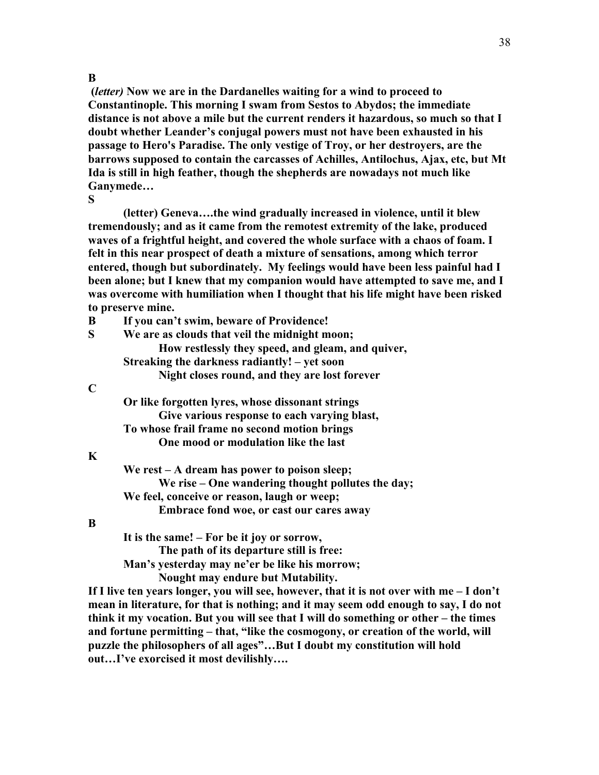#### **B**

**(***letter)* **Now we are in the Dardanelles waiting for a wind to proceed to Constantinople. This morning I swam from Sestos to Abydos; the immediate distance is not above a mile but the current renders it hazardous, so much so that I doubt whether Leander's conjugal powers must not have been exhausted in his passage to Hero's Paradise. The only vestige of Troy, or her destroyers, are the barrows supposed to contain the carcasses of Achilles, Antilochus, Ajax, etc, but Mt Ida is still in high feather, though the shepherds are nowadays not much like Ganymede…**

**S**

**(letter) Geneva….the wind gradually increased in violence, until it blew tremendously; and as it came from the remotest extremity of the lake, produced waves of a frightful height, and covered the whole surface with a chaos of foam. I felt in this near prospect of death a mixture of sensations, among which terror entered, though but subordinately. My feelings would have been less painful had I been alone; but I knew that my companion would have attempted to save me, and I was overcome with humiliation when I thought that his life might have been risked to preserve mine.**

| B |  | If you can't swim, beware of Providence! |
|---|--|------------------------------------------|
|   |  |                                          |

| S | We are as clouds that veil the midnight moon;     |  |  |
|---|---------------------------------------------------|--|--|
|   | How restlessly they speed, and gleam, and quiver, |  |  |
|   | Streaking the darkness radiantly! – yet soon      |  |  |
|   | Night closes round, and they are lost forever     |  |  |
|   |                                                   |  |  |

#### **C**

**Or like forgotten lyres, whose dissonant strings Give various response to each varying blast, To whose frail frame no second motion brings One mood or modulation like the last**

#### **K**

**We rest – A dream has power to poison sleep; We rise – One wandering thought pollutes the day; We feel, conceive or reason, laugh or weep; Embrace fond woe, or cast our cares away**

## **B**

**It is the same! – For be it joy or sorrow, The path of its departure still is free: Man's yesterday may ne'er be like his morrow; Nought may endure but Mutability.**

**If I live ten years longer, you will see, however, that it is not over with me – I don't mean in literature, for that is nothing; and it may seem odd enough to say, I do not think it my vocation. But you will see that I will do something or other – the times and fortune permitting – that, "like the cosmogony, or creation of the world, will puzzle the philosophers of all ages"…But I doubt my constitution will hold out…I've exorcised it most devilishly….**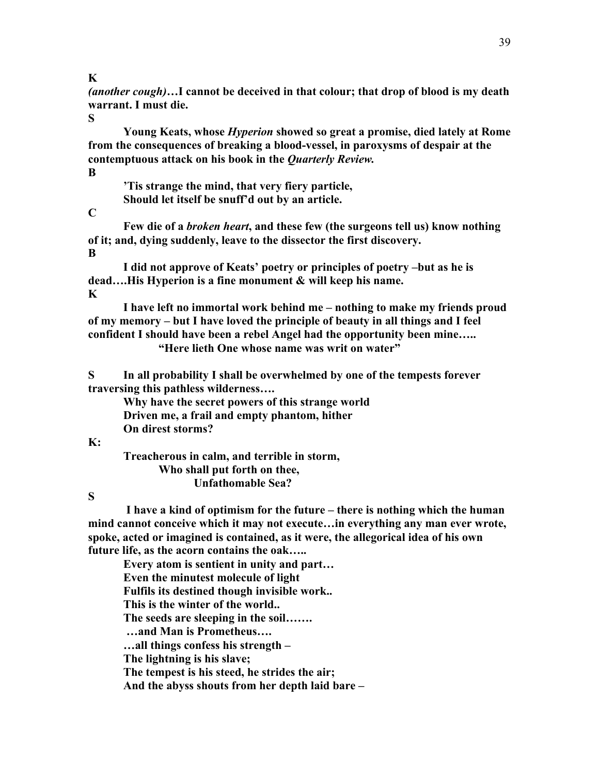**K**

*(another cough)***…I cannot be deceived in that colour; that drop of blood is my death warrant. I must die.** 

**S**

**Young Keats, whose** *Hyperion* **showed so great a promise, died lately at Rome from the consequences of breaking a blood-vessel, in paroxysms of despair at the contemptuous attack on his book in the** *Quarterly Review.*

**B**

**'Tis strange the mind, that very fiery particle, Should let itself be snuff'd out by an article.**

**C**

**Few die of a** *broken heart***, and these few (the surgeons tell us) know nothing of it; and, dying suddenly, leave to the dissector the first discovery. B**

**I did not approve of Keats' poetry or principles of poetry –but as he is dead….His Hyperion is a fine monument & will keep his name. K**

**I have left no immortal work behind me – nothing to make my friends proud of my memory – but I have loved the principle of beauty in all things and I feel confident I should have been a rebel Angel had the opportunity been mine….. "Here lieth One whose name was writ on water"**

**S In all probability I shall be overwhelmed by one of the tempests forever traversing this pathless wilderness….**

**Why have the secret powers of this strange world Driven me, a frail and empty phantom, hither On direst storms?**

## **K:**

**Treacherous in calm, and terrible in storm, Who shall put forth on thee, Unfathomable Sea?**

**S**

**I have a kind of optimism for the future – there is nothing which the human mind cannot conceive which it may not execute…in everything any man ever wrote, spoke, acted or imagined is contained, as it were, the allegorical idea of his own future life, as the acorn contains the oak…..**

**Every atom is sentient in unity and part… Even the minutest molecule of light Fulfils its destined though invisible work.. This is the winter of the world.. The seeds are sleeping in the soil……. …and Man is Prometheus…. …all things confess his strength – The lightning is his slave; The tempest is his steed, he strides the air; And the abyss shouts from her depth laid bare –**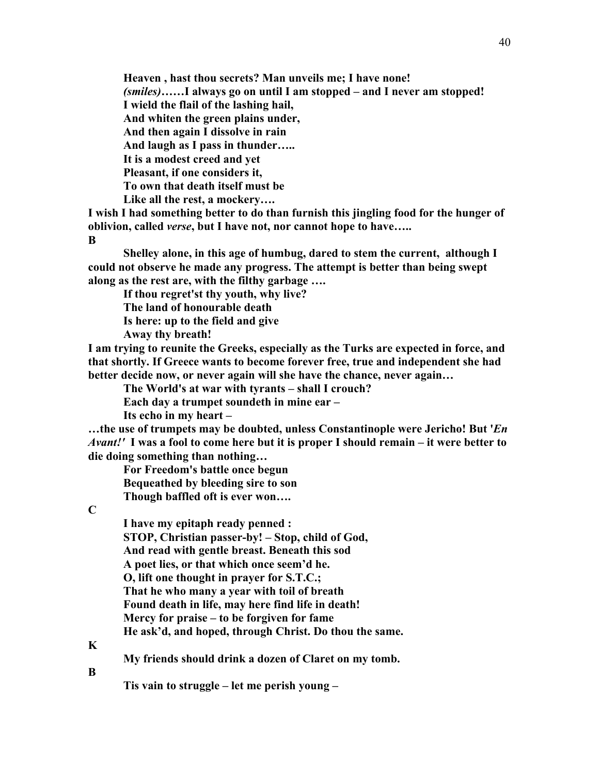**Heaven , hast thou secrets? Man unveils me; I have none!**

*(smiles)***……I always go on until I am stopped – and I never am stopped!**

**I wield the flail of the lashing hail,**

**And whiten the green plains under,**

**And then again I dissolve in rain**

**And laugh as I pass in thunder…..**

**It is a modest creed and yet**

**Pleasant, if one considers it,**

**To own that death itself must be**

**Like all the rest, a mockery….**

**I wish I had something better to do than furnish this jingling food for the hunger of oblivion, called** *verse***, but I have not, nor cannot hope to have…..**

**B**

**Shelley alone, in this age of humbug, dared to stem the current, although I could not observe he made any progress. The attempt is better than being swept along as the rest are, with the filthy garbage ….**

**If thou regret'st thy youth, why live?**

**The land of honourable death**

**Is here: up to the field and give**

**Away thy breath!**

**I am trying to reunite the Greeks, especially as the Turks are expected in force, and that shortly. If Greece wants to become forever free, true and independent she had better decide now, or never again will she have the chance, never again…**

**The World's at war with tyrants – shall I crouch?**

**Each day a trumpet soundeth in mine ear –**

**Its echo in my heart –**

**…the use of trumpets may be doubted, unless Constantinople were Jericho! But '***En Avant!'* **I was a fool to come here but it is proper I should remain – it were better to die doing something than nothing…**

**For Freedom's battle once begun Bequeathed by bleeding sire to son Though baffled oft is ever won….**

**C**

**I have my epitaph ready penned : STOP, Christian passer-by! – Stop, child of God, And read with gentle breast. Beneath this sod A poet lies, or that which once seem'd he. O, lift one thought in prayer for S.T.C.; That he who many a year with toil of breath Found death in life, may here find life in death! Mercy for praise – to be forgiven for fame**

**He ask'd, and hoped, through Christ. Do thou the same.**

**K**

**My friends should drink a dozen of Claret on my tomb.**

**B**

**Tis vain to struggle – let me perish young –**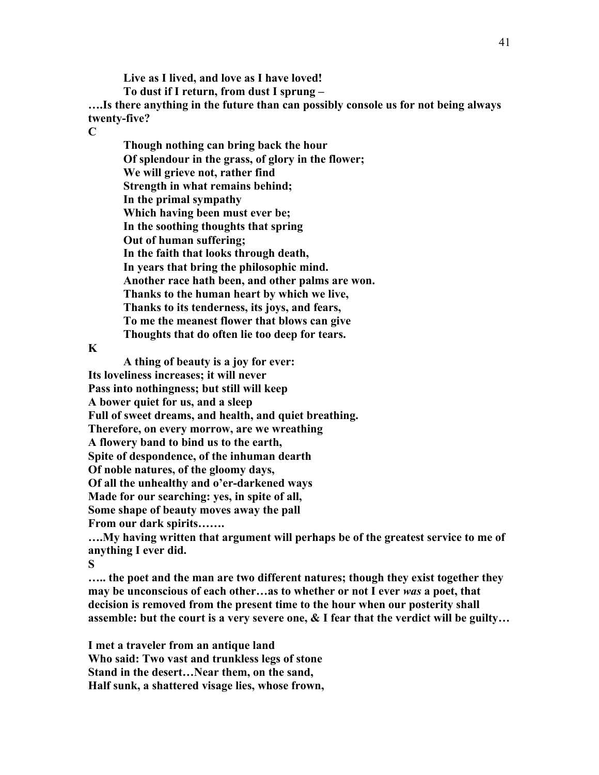**Live as I lived, and love as I have loved! To dust if I return, from dust I sprung – ….Is there anything in the future than can possibly console us for not being always twenty-five? C**

**Though nothing can bring back the hour Of splendour in the grass, of glory in the flower; We will grieve not, rather find Strength in what remains behind; In the primal sympathy Which having been must ever be; In the soothing thoughts that spring Out of human suffering; In the faith that looks through death, In years that bring the philosophic mind. Another race hath been, and other palms are won. Thanks to the human heart by which we live, Thanks to its tenderness, its joys, and fears, To me the meanest flower that blows can give Thoughts that do often lie too deep for tears.**

**K**

**A thing of beauty is a joy for ever: Its loveliness increases; it will never Pass into nothingness; but still will keep A bower quiet for us, and a sleep Full of sweet dreams, and health, and quiet breathing. Therefore, on every morrow, are we wreathing A flowery band to bind us to the earth, Spite of despondence, of the inhuman dearth Of noble natures, of the gloomy days, Of all the unhealthy and o'er-darkened ways Made for our searching: yes, in spite of all, Some shape of beauty moves away the pall From our dark spirits…….**

**….My having written that argument will perhaps be of the greatest service to me of anything I ever did.**

**S**

**….. the poet and the man are two different natures; though they exist together they may be unconscious of each other…as to whether or not I ever** *was* **a poet, that decision is removed from the present time to the hour when our posterity shall assemble: but the court is a very severe one, & I fear that the verdict will be guilty…**

**I met a traveler from an antique land Who said: Two vast and trunkless legs of stone Stand in the desert…Near them, on the sand, Half sunk, a shattered visage lies, whose frown,**